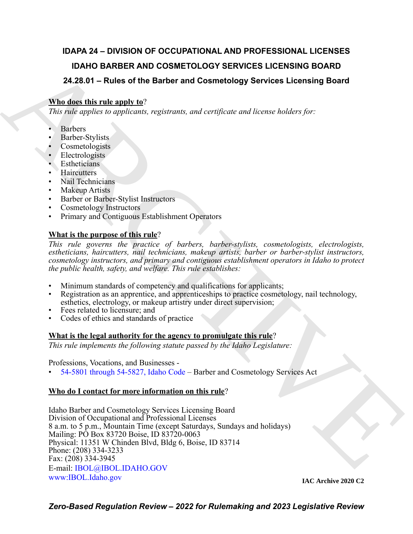## **IDAPA 24 – DIVISION OF OCCUPATIONAL AND PROFESSIONAL LICENSES IDAHO BARBER AND COSMETOLOGY SERVICES LICENSING BOARD 24.28.01 – Rules of the Barber and Cosmetology Services Licensing Board**

### **Who does this rule apply to**?

*This rule applies to applicants, registrants, and certificate and license holders for:*

- Barbers
- Barber-Stylists
- Cosmetologists
- Electrologists
- **Estheticians**
- **Haircutters**
- Nail Technicians
- Makeup Artists
- Barber or Barber-Stylist Instructors
- Cosmetology Instructors
- Primary and Contiguous Establishment Operators

### **What is the purpose of this rule**?

*This rule governs the practice of barbers, barber-stylists, cosmetologists, electrologists, estheticians, haircutters, nail technicians, makeup artists, barber or barber-stylist instructors, cosmetology instructors, and primary and contiguous establishment operators in Idaho to protect the public health, safety, and welfare. This rule establishes:*

- Minimum standards of competency and qualifications for applicants;
- Registration as an apprentice, and apprenticeships to practice cosmetology, nail technology, esthetics, electrology, or makeup artistry under direct supervision;
- Fees related to licensure; and
- Codes of ethics and standards of practice

### **What is the legal authority for the agency to promulgate this rule**?

*This rule implements the following statute passed by the Idaho Legislature:*

#### Professions, Vocations, and Businesses -

• 54-5801 through 54-5827, Idaho Code – Barber and Cosmetology Services Act

### **Who do I contact for more information on this rule**?

**IDAHO BARB[E](mailto: IBOL@IBOL.IDAHO.GOV)R AND COSMETOLOGY SERVICES LICENSING BOARD<br>
24.28.01 - Rules of the Barbor and Cosmetology Services Licensing Board<br>
APIL distribution in the angle of the Barbor and corrigicate and license holders for:<br>
This** Idaho Barber and Cosmetology Services Licensing Board Division of Occupational and Professional Licenses 8 a.m. to 5 p.m., Mountain Time (except Saturdays, Sundays and holidays) Mailing: PO Box 83720 Boise, ID 83720-0063 Physical: 11351 W Chinden Blvd, Bldg 6, Boise, ID 83714 Phone: (208) 334-3233 Fax: (208) 334-3945 E-mail: IBOL@IBOL.IDAHO.GOV [www:IBOL.Idaho.gov](http://www.ibol.idaho.gov/)

**IAC Archive 2020 C2**

*Zero-Based Regulation Review – 2022 for Rulemaking and 2023 Legislative Review*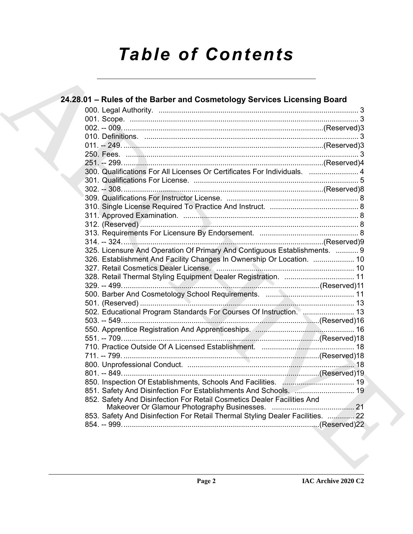# *Table of Contents*

| 300. Qualifications For All Licenses Or Certificates For Individuals.  4       |  |
|--------------------------------------------------------------------------------|--|
|                                                                                |  |
|                                                                                |  |
|                                                                                |  |
|                                                                                |  |
|                                                                                |  |
|                                                                                |  |
|                                                                                |  |
|                                                                                |  |
| 325. Licensure And Operation Of Primary And Contiguous Establishments.  9      |  |
| 326. Establishment And Facility Changes In Ownership Or Location.  10          |  |
|                                                                                |  |
| 328. Retail Thermal Styling Equipment Dealer Registration.  11                 |  |
|                                                                                |  |
|                                                                                |  |
|                                                                                |  |
| 502. Educational Program Standards For Courses Of Instruction.  13             |  |
|                                                                                |  |
|                                                                                |  |
|                                                                                |  |
|                                                                                |  |
|                                                                                |  |
|                                                                                |  |
|                                                                                |  |
| 850. Inspection Of Establishments, Schools And Facilities. Manuscrittion. 19   |  |
| 851. Safety And Disinfection For Establishments And Schools.  19               |  |
| 852. Safety And Disinfection For Retail Cosmetics Dealer Facilities And        |  |
| 853. Safety And Disinfection For Retail Thermal Styling Dealer Facilities.  22 |  |
|                                                                                |  |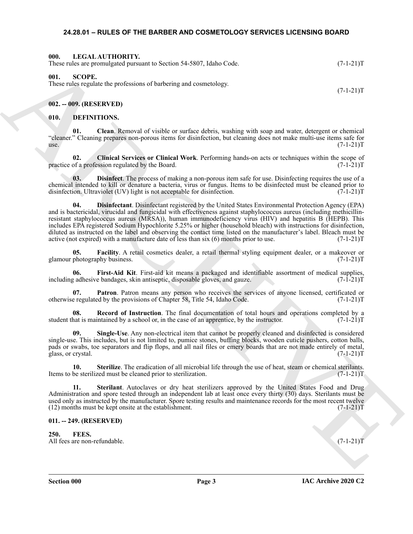#### <span id="page-2-20"></span><span id="page-2-0"></span>**24.28.01 – RULES OF THE BARBER AND COSMETOLOGY SERVICES LICENSING BOARD**

<span id="page-2-1"></span>

| 000. | LEGAL AUTHORITY.<br>These rules are promulgated pursuant to Section 54-5807, Idaho Code. | $(7-1-21)T$ |
|------|------------------------------------------------------------------------------------------|-------------|
| 001. | -SCOPE.<br>These rules requiste the professions of barbering and cosmetology             |             |

<span id="page-2-21"></span><span id="page-2-2"></span>These rules regulate the professions of barbering and cosmetology.

<span id="page-2-3"></span>**002. -- 009. (RESERVED)**

#### <span id="page-2-7"></span><span id="page-2-4"></span>**010. DEFINITIONS.**

<span id="page-2-8"></span>**01. Clean**. Removal of visible or surface debris, washing with soap and water, detergent or chemical "cleaner." Cleaning prepares non-porous items for disinfection, but cleaning does not make multi-use items safe for  $use.$  (7-1-21) $T$ 

<span id="page-2-9"></span>**02.** Clinical Services or Clinical Work. Performing hands-on acts or techniques within the scope of a profession regulated by the Board. (7-1-21) practice of a profession regulated by the Board.

<span id="page-2-11"></span><span id="page-2-10"></span>**03. Disinfect**. The process of making a non-porous item safe for use. Disinfecting requires the use of a chemical intended to kill or denature a bacteria, virus or fungus. Items to be disinfected must be cleaned prior to disinfection. Ultraviolet (UV) light is not acceptable for disinfection. (7-1-21) (7-1-21)

Here shows procedure and to Society 3-4-3817, being Core 2008. (C-1-21)<br>
Here shows a property of the state of the state of the state of the state of the state of the state of the state of the state of the state of the st **04. Disinfectant**. Disinfectant registered by the United States Environmental Protection Agency (EPA) and is bactericidal, virucidal and fungicidal with effectiveness against staphylococcus aureus (including methicillinresistant staphylococcus aureus (MRSA)), human immunodeficiency virus (HIV) and hepatitis B (HEPB). This includes EPA registered Sodium Hypochlorite 5.25% or higher (household bleach) with instructions for disinfection, diluted as instructed on the label and observing the contact time listed on the manufacturer's label. Bleach must be active (not expired) with a manufacture date of less than six  $(6)$  months prior to use.  $(7-1-21)T$ 

<span id="page-2-12"></span>**05. Facility**. A retail cosmetics dealer, a retail thermal styling equipment dealer, or a makeover or glamour photography business. (7-1-21)T

<span id="page-2-13"></span>**06. First-Aid Kit**. First-aid kit means a packaged and identifiable assortment of medical supplies, including adhesive bandages, skin antiseptic, disposable gloves, and gauze.  $(7-\overline{1}-21)T$ 

<span id="page-2-14"></span>**07. Patron**. Patron means any person who receives the services of anyone licensed, certificated or e regulated by the provisions of Chapter 58, Title 54, Idaho Code. (7-1-21) otherwise regulated by the provisions of Chapter 58, Title 54, Idaho Code.

<span id="page-2-15"></span>**08. Record of Instruction**. The final documentation of total hours and operations completed by a student that is maintained by a school or, in the case of an apprentice, by the instructor. (7-1-21)T

<span id="page-2-16"></span>**09. Single-Use**. Any non-electrical item that cannot be properly cleaned and disinfected is considered single-use. This includes, but is not limited to, pumice stones, buffing blocks, wooden cuticle pushers, cotton balls, pads or swabs, toe separators and flip flops, and all nail files or emery boards that are not made entirely of metal, glass, or crystal. (7-1-21)T

<span id="page-2-18"></span>**10.** Sterilize. The eradication of all microbial life through the use of heat, steam or chemical sterilants.<br>be sterilized must be cleaned prior to sterilization. (7-1-21)T Items to be sterilized must be cleaned prior to sterilization.

<span id="page-2-17"></span>**11. Sterilant**. Autoclaves or dry heat sterilizers approved by the United States Food and Drug Administration and spore tested through an independent lab at least once every thirty (30) days. Sterilants must be used only as instructed by the manufacturer. Spore testing results and maintenance records for the most recent twelve  $(12)$  months must be kept onsite at the establishment.  $(7-1-21)$ T

#### <span id="page-2-5"></span>**011. -- 249. (RESERVED)**

<span id="page-2-19"></span><span id="page-2-6"></span>**250. FEES.** All fees are non-refundable. (7-1-21) T

 $(7-1-21)T$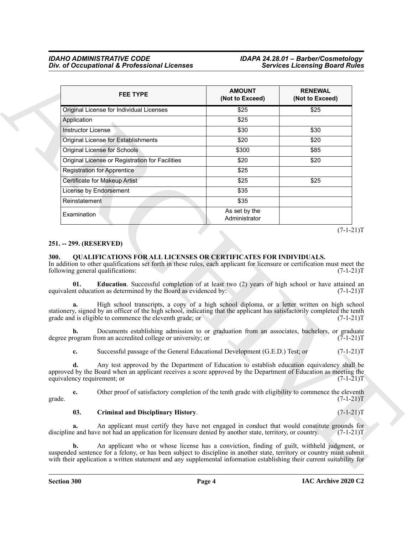| <b>FEE TYPE</b>                                                                                                                                                                                                                                                                                                                                                                                                                                                                                                                                                                                                                     | <b>AMOUNT</b><br>(Not to Exceed) | <b>RENEWAL</b><br>(Not to Exceed)         |
|-------------------------------------------------------------------------------------------------------------------------------------------------------------------------------------------------------------------------------------------------------------------------------------------------------------------------------------------------------------------------------------------------------------------------------------------------------------------------------------------------------------------------------------------------------------------------------------------------------------------------------------|----------------------------------|-------------------------------------------|
| Original License for Individual Licenses                                                                                                                                                                                                                                                                                                                                                                                                                                                                                                                                                                                            | \$25                             | \$25                                      |
| Application                                                                                                                                                                                                                                                                                                                                                                                                                                                                                                                                                                                                                         | \$25                             |                                           |
| <b>Instructor License</b>                                                                                                                                                                                                                                                                                                                                                                                                                                                                                                                                                                                                           | \$30                             | \$30                                      |
| Original License for Establishments                                                                                                                                                                                                                                                                                                                                                                                                                                                                                                                                                                                                 | \$20                             | \$20                                      |
| Original License for Schools                                                                                                                                                                                                                                                                                                                                                                                                                                                                                                                                                                                                        | \$300                            | \$85                                      |
| Original License or Registration for Facilities                                                                                                                                                                                                                                                                                                                                                                                                                                                                                                                                                                                     | \$20                             | \$20                                      |
| <b>Registration for Apprentice</b>                                                                                                                                                                                                                                                                                                                                                                                                                                                                                                                                                                                                  | \$25                             |                                           |
| Certificate for Makeup Artist                                                                                                                                                                                                                                                                                                                                                                                                                                                                                                                                                                                                       | \$25                             | \$25                                      |
| License by Endorsement                                                                                                                                                                                                                                                                                                                                                                                                                                                                                                                                                                                                              | \$35                             |                                           |
| Reinstatement                                                                                                                                                                                                                                                                                                                                                                                                                                                                                                                                                                                                                       | \$35                             |                                           |
| Examination                                                                                                                                                                                                                                                                                                                                                                                                                                                                                                                                                                                                                         | As set by the<br>Administrator   |                                           |
| In addition to other qualifications set forth in these rules, each applicant for licensure or certification must meet the<br>following general qualifications:<br>Education. Successful completion of at least two (2) years of high school or have attained an<br>01.<br>equivalent education as determined by the Board as evidenced by:<br>High school transcripts, a copy of a high school diploma, or a letter written on high school<br>stationery, signed by an officer of the high school, indicating that the applicant has satisfactorily completed the tenth<br>grade and is eligible to commence the eleventh grade; or |                                  | $(7-1-21)T$<br>$(7-1-21)T$<br>$(7-1-21)T$ |
| Documents establishing admission to or graduation from an associates, bachelors, or graduate<br>b.<br>degree program from an accredited college or university; or                                                                                                                                                                                                                                                                                                                                                                                                                                                                   |                                  | $(7-1-21)T$                               |
| Successful passage of the General Educational Development (G.E.D.) Test; or<br>c.                                                                                                                                                                                                                                                                                                                                                                                                                                                                                                                                                   |                                  | $(7-1-21)T$                               |
| Any test approved by the Department of Education to establish education equivalency shall be<br>d.<br>approved by the Board when an applicant receives a score approved by the Department of Education as meeting the<br>equivalency requirement; or                                                                                                                                                                                                                                                                                                                                                                                |                                  | $(7-1-21)T$                               |
| Other proof of satisfactory completion of the tenth grade with eligibility to commence the eleventh<br>e.                                                                                                                                                                                                                                                                                                                                                                                                                                                                                                                           |                                  | $(7-1-21)T$                               |
| grade.                                                                                                                                                                                                                                                                                                                                                                                                                                                                                                                                                                                                                              |                                  |                                           |
| 03.<br><b>Criminal and Disciplinary History.</b>                                                                                                                                                                                                                                                                                                                                                                                                                                                                                                                                                                                    |                                  | $(7-1-21)T$                               |

#### <span id="page-3-0"></span>**251. -- 299. (RESERVED)**

#### <span id="page-3-4"></span><span id="page-3-2"></span><span id="page-3-1"></span>**300. QUALIFICATIONS FOR ALL LICENSES OR CERTIFICATES FOR INDIVIDUALS.**

#### <span id="page-3-3"></span>**03.** Criminal and Disciplinary History. (7-1-21)T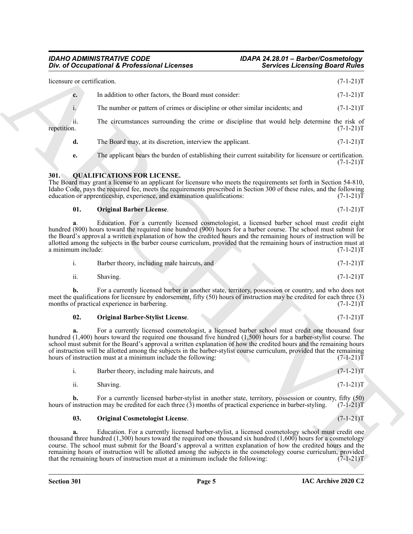| licensure or certification.<br>In addition to other factors, the Board must consider:<br>c.<br>The number or pattern of crimes or discipline or other similar incidents; and<br>i.<br>ii.<br>The circumstances surrounding the crime or discipline that would help determine the risk of<br>repetition.<br>d.<br>The Board may, at its discretion, interview the applicant.<br>The applicant bears the burden of establishing their current suitability for licensure or certification.<br>e.<br><b>QUALIFICATIONS FOR LICENSE.</b><br><b>301.</b><br>The Board may grant a license to an applicant for licensure who meets the requirements set forth in Section 54-810,<br>Idaho Code, pays the required fee, meets the requirements prescribed in Section 300 of these rules, and the following<br>education or apprenticeship, experience, and examination qualifications:<br>01.<br><b>Original Barber License.</b><br>Education. For a currently licensed cosmetologist, a licensed barber school must credit eight<br>a.<br>hundred (800) hours toward the required nine hundred (900) hours for a barber course. The school must submit for<br>the Board's approval a written explanation of how the credited hours and the remaining hours of instruction will be<br>allotted among the subjects in the barber course curriculum, provided that the remaining hours of instruction must at<br>a minimum include:<br>i.<br>Barber theory, including male haircuts, and<br>ii.<br>Shaving.<br>For a currently licensed barber in another state, territory, possession or country, and who does not<br>b.<br>meet the qualifications for licensure by endorsement, fifty (50) hours of instruction may be credited for each three (3)<br>months of practical experience in barbering.<br>02.<br><b>Original Barber-Stylist License.</b><br>For a currently licensed cosmetologist, a licensed barber school must credit one thousand four<br>a.<br>hundred $(1,400)$ hours toward the required one thousand five hundred $(1,500)$ hours for a barber-stylist course. The<br>school must submit for the Board's approval a written explanation of how the credited hours and the remaining hours<br>of instruction will be allotted among the subjects in the barber-stylist course curriculum, provided that the remaining<br>hours of instruction must at a minimum include the following:<br>$\mathbf{i}$ .<br>Barber theory, including male haircuts, and<br>ii.<br>Shaving.<br>For a currently licensed barber-stylist in another state, territory, possession or country, fifty (50)<br>$\mathbf{b}$ .<br>hours of instruction may be credited for each three $(3)$ months of practical experience in barber-styling.<br>03.<br><b>Original Cosmetologist License.</b> | <b>Services Licensing Board Rules</b> |
|------------------------------------------------------------------------------------------------------------------------------------------------------------------------------------------------------------------------------------------------------------------------------------------------------------------------------------------------------------------------------------------------------------------------------------------------------------------------------------------------------------------------------------------------------------------------------------------------------------------------------------------------------------------------------------------------------------------------------------------------------------------------------------------------------------------------------------------------------------------------------------------------------------------------------------------------------------------------------------------------------------------------------------------------------------------------------------------------------------------------------------------------------------------------------------------------------------------------------------------------------------------------------------------------------------------------------------------------------------------------------------------------------------------------------------------------------------------------------------------------------------------------------------------------------------------------------------------------------------------------------------------------------------------------------------------------------------------------------------------------------------------------------------------------------------------------------------------------------------------------------------------------------------------------------------------------------------------------------------------------------------------------------------------------------------------------------------------------------------------------------------------------------------------------------------------------------------------------------------------------------------------------------------------------------------------------------------------------------------------------------------------------------------------------------------------------------------------------------------------------------------------------------------------------------------------------------------------------------------------------------------------------------------------------------------------------------------------------------------------------------------------------------------|---------------------------------------|
|                                                                                                                                                                                                                                                                                                                                                                                                                                                                                                                                                                                                                                                                                                                                                                                                                                                                                                                                                                                                                                                                                                                                                                                                                                                                                                                                                                                                                                                                                                                                                                                                                                                                                                                                                                                                                                                                                                                                                                                                                                                                                                                                                                                                                                                                                                                                                                                                                                                                                                                                                                                                                                                                                                                                                                                    | $(7-1-21)T$                           |
|                                                                                                                                                                                                                                                                                                                                                                                                                                                                                                                                                                                                                                                                                                                                                                                                                                                                                                                                                                                                                                                                                                                                                                                                                                                                                                                                                                                                                                                                                                                                                                                                                                                                                                                                                                                                                                                                                                                                                                                                                                                                                                                                                                                                                                                                                                                                                                                                                                                                                                                                                                                                                                                                                                                                                                                    | $(7-1-21)T$                           |
|                                                                                                                                                                                                                                                                                                                                                                                                                                                                                                                                                                                                                                                                                                                                                                                                                                                                                                                                                                                                                                                                                                                                                                                                                                                                                                                                                                                                                                                                                                                                                                                                                                                                                                                                                                                                                                                                                                                                                                                                                                                                                                                                                                                                                                                                                                                                                                                                                                                                                                                                                                                                                                                                                                                                                                                    | $(7-1-21)T$                           |
|                                                                                                                                                                                                                                                                                                                                                                                                                                                                                                                                                                                                                                                                                                                                                                                                                                                                                                                                                                                                                                                                                                                                                                                                                                                                                                                                                                                                                                                                                                                                                                                                                                                                                                                                                                                                                                                                                                                                                                                                                                                                                                                                                                                                                                                                                                                                                                                                                                                                                                                                                                                                                                                                                                                                                                                    | $(7-1-21)T$                           |
|                                                                                                                                                                                                                                                                                                                                                                                                                                                                                                                                                                                                                                                                                                                                                                                                                                                                                                                                                                                                                                                                                                                                                                                                                                                                                                                                                                                                                                                                                                                                                                                                                                                                                                                                                                                                                                                                                                                                                                                                                                                                                                                                                                                                                                                                                                                                                                                                                                                                                                                                                                                                                                                                                                                                                                                    | $(7-1-21)T$                           |
|                                                                                                                                                                                                                                                                                                                                                                                                                                                                                                                                                                                                                                                                                                                                                                                                                                                                                                                                                                                                                                                                                                                                                                                                                                                                                                                                                                                                                                                                                                                                                                                                                                                                                                                                                                                                                                                                                                                                                                                                                                                                                                                                                                                                                                                                                                                                                                                                                                                                                                                                                                                                                                                                                                                                                                                    | $(7-1-21)T$                           |
|                                                                                                                                                                                                                                                                                                                                                                                                                                                                                                                                                                                                                                                                                                                                                                                                                                                                                                                                                                                                                                                                                                                                                                                                                                                                                                                                                                                                                                                                                                                                                                                                                                                                                                                                                                                                                                                                                                                                                                                                                                                                                                                                                                                                                                                                                                                                                                                                                                                                                                                                                                                                                                                                                                                                                                                    | $(7-1-21)T$                           |
|                                                                                                                                                                                                                                                                                                                                                                                                                                                                                                                                                                                                                                                                                                                                                                                                                                                                                                                                                                                                                                                                                                                                                                                                                                                                                                                                                                                                                                                                                                                                                                                                                                                                                                                                                                                                                                                                                                                                                                                                                                                                                                                                                                                                                                                                                                                                                                                                                                                                                                                                                                                                                                                                                                                                                                                    | $(7-1-21)T$                           |
|                                                                                                                                                                                                                                                                                                                                                                                                                                                                                                                                                                                                                                                                                                                                                                                                                                                                                                                                                                                                                                                                                                                                                                                                                                                                                                                                                                                                                                                                                                                                                                                                                                                                                                                                                                                                                                                                                                                                                                                                                                                                                                                                                                                                                                                                                                                                                                                                                                                                                                                                                                                                                                                                                                                                                                                    | $(7-1-21)T$                           |
|                                                                                                                                                                                                                                                                                                                                                                                                                                                                                                                                                                                                                                                                                                                                                                                                                                                                                                                                                                                                                                                                                                                                                                                                                                                                                                                                                                                                                                                                                                                                                                                                                                                                                                                                                                                                                                                                                                                                                                                                                                                                                                                                                                                                                                                                                                                                                                                                                                                                                                                                                                                                                                                                                                                                                                                    | $(7-1-21)T$                           |
|                                                                                                                                                                                                                                                                                                                                                                                                                                                                                                                                                                                                                                                                                                                                                                                                                                                                                                                                                                                                                                                                                                                                                                                                                                                                                                                                                                                                                                                                                                                                                                                                                                                                                                                                                                                                                                                                                                                                                                                                                                                                                                                                                                                                                                                                                                                                                                                                                                                                                                                                                                                                                                                                                                                                                                                    | $(7-1-21)T$                           |
|                                                                                                                                                                                                                                                                                                                                                                                                                                                                                                                                                                                                                                                                                                                                                                                                                                                                                                                                                                                                                                                                                                                                                                                                                                                                                                                                                                                                                                                                                                                                                                                                                                                                                                                                                                                                                                                                                                                                                                                                                                                                                                                                                                                                                                                                                                                                                                                                                                                                                                                                                                                                                                                                                                                                                                                    | $(7-1-21)T$                           |
|                                                                                                                                                                                                                                                                                                                                                                                                                                                                                                                                                                                                                                                                                                                                                                                                                                                                                                                                                                                                                                                                                                                                                                                                                                                                                                                                                                                                                                                                                                                                                                                                                                                                                                                                                                                                                                                                                                                                                                                                                                                                                                                                                                                                                                                                                                                                                                                                                                                                                                                                                                                                                                                                                                                                                                                    | $(7-1-21)T$                           |
|                                                                                                                                                                                                                                                                                                                                                                                                                                                                                                                                                                                                                                                                                                                                                                                                                                                                                                                                                                                                                                                                                                                                                                                                                                                                                                                                                                                                                                                                                                                                                                                                                                                                                                                                                                                                                                                                                                                                                                                                                                                                                                                                                                                                                                                                                                                                                                                                                                                                                                                                                                                                                                                                                                                                                                                    | $(7-1-21)T$                           |
|                                                                                                                                                                                                                                                                                                                                                                                                                                                                                                                                                                                                                                                                                                                                                                                                                                                                                                                                                                                                                                                                                                                                                                                                                                                                                                                                                                                                                                                                                                                                                                                                                                                                                                                                                                                                                                                                                                                                                                                                                                                                                                                                                                                                                                                                                                                                                                                                                                                                                                                                                                                                                                                                                                                                                                                    | $(7-1-21)T$                           |
|                                                                                                                                                                                                                                                                                                                                                                                                                                                                                                                                                                                                                                                                                                                                                                                                                                                                                                                                                                                                                                                                                                                                                                                                                                                                                                                                                                                                                                                                                                                                                                                                                                                                                                                                                                                                                                                                                                                                                                                                                                                                                                                                                                                                                                                                                                                                                                                                                                                                                                                                                                                                                                                                                                                                                                                    | $(7-1-21)T$                           |
|                                                                                                                                                                                                                                                                                                                                                                                                                                                                                                                                                                                                                                                                                                                                                                                                                                                                                                                                                                                                                                                                                                                                                                                                                                                                                                                                                                                                                                                                                                                                                                                                                                                                                                                                                                                                                                                                                                                                                                                                                                                                                                                                                                                                                                                                                                                                                                                                                                                                                                                                                                                                                                                                                                                                                                                    | $(7-1-21)T$                           |
|                                                                                                                                                                                                                                                                                                                                                                                                                                                                                                                                                                                                                                                                                                                                                                                                                                                                                                                                                                                                                                                                                                                                                                                                                                                                                                                                                                                                                                                                                                                                                                                                                                                                                                                                                                                                                                                                                                                                                                                                                                                                                                                                                                                                                                                                                                                                                                                                                                                                                                                                                                                                                                                                                                                                                                                    | $(7-1-21)T$                           |
| Education. For a currently licensed barber-stylist, a licensed cosmetology school must credit one<br>a.<br>thousand three hundred $(1,300)$ hours toward the required one thousand six hundred $(1,600)$ hours for a cosmetology<br>course. The school must submit for the Board's approval a written explanation of how the credited hours and the<br>remaining hours of instruction will be allotted among the subjects in the cosmetology course curriculum, provided<br>that the remaining hours of instruction must at a minimum include the following:                                                                                                                                                                                                                                                                                                                                                                                                                                                                                                                                                                                                                                                                                                                                                                                                                                                                                                                                                                                                                                                                                                                                                                                                                                                                                                                                                                                                                                                                                                                                                                                                                                                                                                                                                                                                                                                                                                                                                                                                                                                                                                                                                                                                                       | $(7-1-21)T$                           |

#### <span id="page-4-2"></span><span id="page-4-1"></span><span id="page-4-0"></span>**01. Original Barber License**. (7-1-21)T

|     | Barber theory, including male haircuts, and | $(7-1-21)T$ |  |
|-----|---------------------------------------------|-------------|--|
| ii. | Shaving.                                    | $(7-1-21)T$ |  |

<span id="page-4-3"></span>

| 02.<br><b>Original Barber-Stylist License.</b> |  | $(7-1-21)T$ |
|------------------------------------------------|--|-------------|
|------------------------------------------------|--|-------------|

|     | Barber theory, including male haircuts, and | $(7-1-21)T$ |
|-----|---------------------------------------------|-------------|
| ii. | Shaving.                                    | $(7-1-21)T$ |
|     |                                             | $-1$        |

#### <span id="page-4-4"></span>**03. Original Cosmetologist License**. (7-1-21)T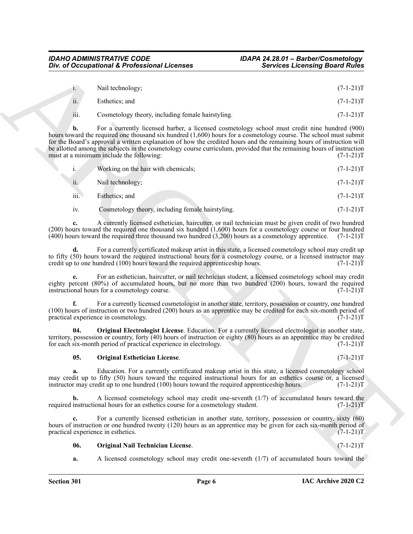| $1 -$ | Nail technology;                                  | $(7-1-21)T$ |
|-------|---------------------------------------------------|-------------|
| ii.   | Esthetics: and                                    | $(7-1-21)T$ |
| iii.  | Cosmetology theory, including female hairstyling. | $(7-1-21)T$ |

|             | Div. of Occupational & Professional Licenses                                                                                                                                                                                                                                                                                                                                                                                                                                                                    | <b>Services Licensing Board Rules</b> |
|-------------|-----------------------------------------------------------------------------------------------------------------------------------------------------------------------------------------------------------------------------------------------------------------------------------------------------------------------------------------------------------------------------------------------------------------------------------------------------------------------------------------------------------------|---------------------------------------|
| 1.          | Nail technology;                                                                                                                                                                                                                                                                                                                                                                                                                                                                                                | $(7-1-21)T$                           |
|             |                                                                                                                                                                                                                                                                                                                                                                                                                                                                                                                 |                                       |
| ii.         | Esthetics; and                                                                                                                                                                                                                                                                                                                                                                                                                                                                                                  | $(7-1-21)T$                           |
| iii.        | Cosmetology theory, including female hairstyling.                                                                                                                                                                                                                                                                                                                                                                                                                                                               | $(7-1-21)T$                           |
| b.          | For a currently licensed barber, a licensed cosmetology school must credit nine hundred (900)<br>hours toward the required one thousand six hundred (1,600) hours for a cosmetology course. The school must submit<br>for the Board's approval a written explanation of how the credited hours and the remaining hours of instruction will<br>be allotted among the subjects in the cosmetology course curriculum, provided that the remaining hours of instruction<br>must at a minimum include the following: | $(7-1-21)T$                           |
| $i_{\cdot}$ | Working on the hair with chemicals;                                                                                                                                                                                                                                                                                                                                                                                                                                                                             | $(7-1-21)T$                           |
| ii.         | Nail technology;                                                                                                                                                                                                                                                                                                                                                                                                                                                                                                | $(7-1-21)T$                           |
| iii.        | Esthetics; and                                                                                                                                                                                                                                                                                                                                                                                                                                                                                                  | $(7-1-21)T$                           |
| iv.         | Cosmetology theory, including female hairstyling.                                                                                                                                                                                                                                                                                                                                                                                                                                                               | $(7-1-21)T$                           |
| c.          | A currently licensed esthetician, haircutter, or nail technician must be given credit of two hundred<br>$(200)$ hours toward the required one thousand six hundred $(1,600)$ hours for a cosmetology course or four hundred<br>$(400)$ hours toward the required three thousand two hundred $(3,200)$ hours as a cosmetology apprentice.                                                                                                                                                                        | $(7-1-21)T$                           |
| d.          | For a currently certificated makeup artist in this state, a licensed cosmetology school may credit up<br>to fifty (50) hours toward the required instructional hours for a cosmetology course, or a licensed instructor may<br>credit up to one hundred (100) hours toward the required apprenticeship hours.                                                                                                                                                                                                   | $(7-1-21)T$                           |
|             | For an esthetician, haircutter, or nail technician student, a licensed cosmetology school may credit<br>eighty percent (80%) of accumulated hours, but no more than two hundred (200) hours, toward the required<br>instructional hours for a cosmetology course.                                                                                                                                                                                                                                               | $(7-1-21)T$                           |
| f.          | For a currently licensed cosmetologist in another state, territory, possession or country, one hundred<br>(100) hours of instruction or two hundred (200) hours as an apprentice may be credited for each six-month period of<br>practical experience in cosmetology.                                                                                                                                                                                                                                           | $(7-1-21)T$                           |
| 04.         | <b>Original Electrologist License.</b> Education. For a currently licensed electrologist in another state,<br>territory, possession or country, forty (40) hours of instruction or eighty (80) hours as an apprentice may be credited<br>for each six-month period of practical experience in electrology.                                                                                                                                                                                                      | $(7-1-21)T$                           |
| 05.         | <b>Original Esthetician License.</b>                                                                                                                                                                                                                                                                                                                                                                                                                                                                            | $(7-1-21)T$                           |
| a.          | Education. For a currently certificated makeup artist in this state, a licensed cosmetology school<br>may credit up to fifty (50) hours toward the required instructional hours for an esthetics course or, a licensed<br>instructor may credit up to one hundred (100) hours toward the required apprenticeship hours.                                                                                                                                                                                         | $(7-1-21)T$                           |
| b.          | A licensed cosmetology school may credit one-seventh $(1/7)$ of accumulated hours toward the<br>required instructional hours for an esthetics course for a cosmetology student.                                                                                                                                                                                                                                                                                                                                 | $(7-1-21)T$                           |
| c.          | For a currently licensed esthetician in another state, territory, possession or country, sixty (60)<br>hours of instruction or one hundred twenty (120) hours as an apprentice may be given for each six-month period of<br>practical experience in esthetics.                                                                                                                                                                                                                                                  | $(7-1-21)T$                           |
| 06.         | <b>Original Nail Technician License.</b>                                                                                                                                                                                                                                                                                                                                                                                                                                                                        | $(7-1-21)T$                           |
|             |                                                                                                                                                                                                                                                                                                                                                                                                                                                                                                                 |                                       |

#### <span id="page-5-2"></span><span id="page-5-1"></span><span id="page-5-0"></span>**05. Original Esthetician License**. (7-1-21)T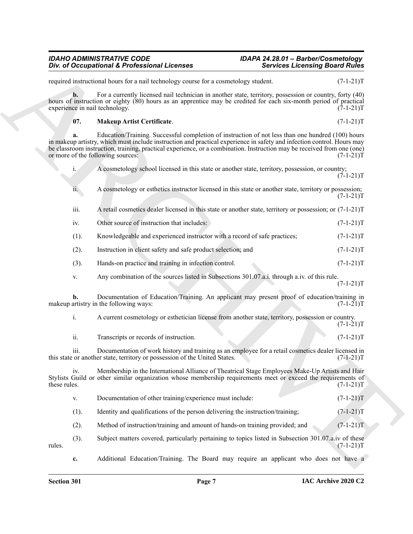<span id="page-6-0"></span>One of Occupational K. Professional Licenses<br>
Newton Licensing Board Rides<br>
Newton Licensing Board Rides<br>
Newton Income of the main value of the state of the state of the state of the state of the state of the state<br>
stat required instructional hours for a nail technology course for a cosmetology student. (7-1-21)T **b.** For a currently licensed nail technician in another state, territory, possession or country, forty (40) hours of instruction or eighty (80) hours as an apprentice may be credited for each six-month period of practical experience in nail technology. (7-1-21)T **07. Makeup Artist Certificate**. (7-1-21)T **a.** Education/Training. Successful completion of instruction of not less than one hundred (100) hours in makeup artistry, which must include instruction and practical experience in safety and infection control. Hours may be classroom instruction, training, practical experience, or a combination. Instruction may be received from one (one) or more of the following sources:  $(7-1-21)T$ or more of the following sources: i. A cosmetology school licensed in this state or another state, territory, possession, or country;  $(7-1-21)T$ ii. A cosmetology or esthetics instructor licensed in this state or another state, territory or possession;  $(7-1-21)T$ iii. A retail cosmetics dealer licensed in this state or another state, territory or possession; or (7-1-21)T iv. Other source of instruction that includes: (7-1-21)T (1). Knowledgeable and experienced instructor with a record of safe practices; (7-1-21)T (2). Instruction in client safety and safe product selection; and (7-1-21)T (3). Hands-on practice and training in infection control. (7-1-21)T v. Any combination of the sources listed in Subsections 301.07.a.i. through a.iv. of this rule.  $(7-1-21)T$ **b.** Documentation of Education/Training. An applicant may present proof of education/training in artistry in the following ways:  $(7-1-21)$ makeup artistry in the following ways: i. A current cosmetology or esthetician license from another state, territory, possession or country.  $(7-1-21)T$ ii. Transcripts or records of instruction. (7-1-21)T iii. Documentation of work history and training as an employee for a retail cosmetics dealer licensed in or another state, territory or possession of the United States. (7-1-21) this state or another state, territory or possession of the United States. iv. Membership in the International Alliance of Theatrical Stage Employees Make-Up Artists and Hair Stylists Guild or other similar organization whose membership requirements meet or exceed the requirements of these rules. (7-1-21)T these rules.  $(7-1-21)T$ v. Documentation of other training/experience must include: (7-1-21)T (1). Identity and qualifications of the person delivering the instruction/training;  $(7-1-21)T$ (2). Method of instruction/training and amount of hands-on training provided; and (7-1-21)T (3). Subject matters covered, particularly pertaining to topics listed in Subsection 301.07.a.iv of these rules.  $(7-1-21)$ T **c.** Additional Education/Training. The Board may require an applicant who does not have a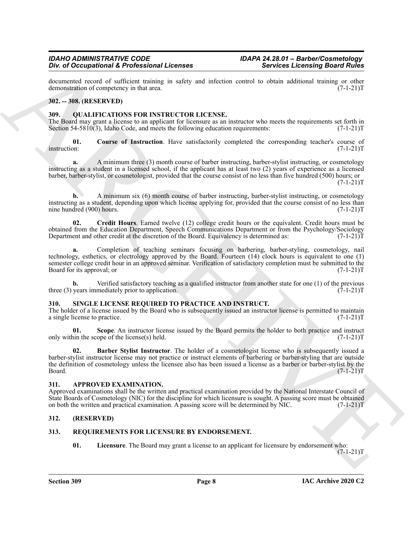documented record of sufficient training in safety and infection control to obtain additional training or other demonstration of competency in that area. (7-1-21) demonstration of competency in that area.

#### <span id="page-7-0"></span>**302. -- 308. (RESERVED)**

#### <span id="page-7-7"></span><span id="page-7-1"></span>**309. QUALIFICATIONS FOR INSTRUCTOR LICENSE.**

The Board may grant a license to an applicant for licensure as an instructor who meets the requirements set forth in Section 54-5810(3), Idaho Code, and meets the following education requirements:  $(7-1-21)T$ Section 54-5810(3), Idaho Code, and meets the following education requirements:

<span id="page-7-8"></span>**01.** Course of Instruction. Have satisfactorily completed the corresponding teacher's course of instruction:  $(7-1-21)T$ instruction: (7-1-21)T

**a.** A minimum three (3) month course of barber instructing, barber-stylist instructing, or cosmetology instructing as a student in a licensed school, if the applicant has at least two (2) years of experience as a licensed barber, barber-stylist, or cosmetologist, provided that the course consist of no less than five hundred (500) hours; or

 $(7-1-21)T$ 

**b.** A minimum six (6) month course of barber instructing, barber-stylist instructing, or cosmetology instructing as a student, depending upon which license applying for, provided that the course consist of no less than nine hundred (900) hours. (7-1-21)T

<span id="page-7-9"></span>**02. Credit Hours**. Earned twelve (12) college credit hours or the equivalent. Credit hours must be obtained from the Education Department, Speech Communications Department or from the Psychology/Sociology Department and other credit at the discretion of the Board. Equivalency is determined as: (7-1-21)T

**a.** Completion of teaching seminars focusing on barbering, barber-styling, cosmetology, nail technology, esthetics, or electrology approved by the Board. Fourteen (14) clock hours is equivalent to one (1) semester college credit hour in an approved seminar. Verification of satisfactory completion must be submitted to the Board for its approval; or  $(7-1-21)$ T

**b.** Verified satisfactory teaching as a qualified instructor from another state for one (1) of the previous years immediately prior to application.  $(7-1-21)$ three  $(3)$  years immediately prior to application.

#### <span id="page-7-12"></span><span id="page-7-2"></span>**310. SINGLE LICENSE REQUIRED TO PRACTICE AND INSTRUCT.**

The holder of a license issued by the Board who is subsequently issued an instructor license is permitted to maintain a single license to practice.  $(7-1-21)T$ a single license to practice.

<span id="page-7-14"></span><span id="page-7-13"></span>**01.** Scope. An instructor license issued by the Board permits the holder to both practice and instruct in the scope of the license(s) held. (7-1-21) only within the scope of the license $(s)$  held.

*Div* of Decreasion of Every and the section of the section of the section of the section of the section of the section of the section of the section of the section of the section of the section of the section of the sect **02. Barber Stylist Instructor**. The holder of a cosmetologist license who is subsequently issued a barber-stylist instructor license may not practice or instruct elements of barbering or barber-styling that are outside the definition of cosmetology unless the licensee also has been issued a license as a barber or barber-stylist by the Board. (7-1-21)T  $Board.$  (7-1-21) $T$ 

#### <span id="page-7-6"></span><span id="page-7-3"></span>**311. APPROVED EXAMINATION.**

Approved examinations shall be the written and practical examination provided by the National Interstate Council of State Boards of Cosmetology (NIC) for the discipline for which licensure is sought. A passing score must be obtained on both the written and practical examination. A passing score will be determined by NIC. (7-1-21)T

#### <span id="page-7-4"></span>**312. (RESERVED)**

#### <span id="page-7-5"></span>**313. REQUIREMENTS FOR LICENSURE BY ENDORSEMENT.**

<span id="page-7-11"></span><span id="page-7-10"></span>**01. Licensure**. The Board may grant a license to an applicant for licensure by endorsement who:

 $(7-1-21)T$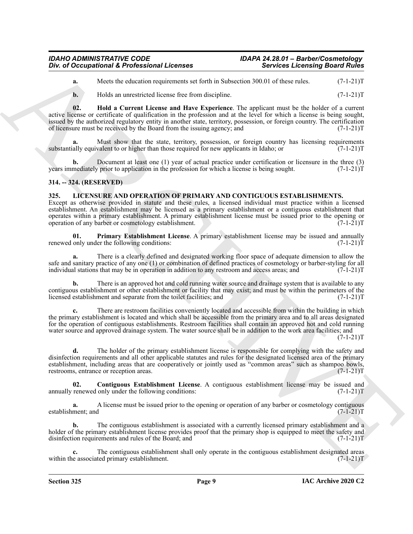**a.** Meets the education requirements set forth in Subsection 300.01 of these rules. (7-1-21)T

<span id="page-8-5"></span>**b.** Holds an unrestricted license free from discipline. (7-1-21)T

**02. Hold a Current License and Have Experience**. The applicant must be the holder of a current active license or certificate of qualification in the profession and at the level for which a license is being sought, issued by the authorized regulatory entity in another state, territory, possession, or foreign country. The certification of licensure must be received by the Board from the issuing agency; and (7-1-21)T

**a.** Must show that the state, territory, possession, or foreign country has licensing requirements substantially equivalent to or higher than those required for new applicants in Idaho; or  $(7-1-21)$ T

**b.** Document at least one (1) year of actual practice under certification or licensure in the three (3) mediately prior to application in the profession for which a license is being sought. (7-1-21) years immediately prior to application in the profession for which a license is being sought.

#### <span id="page-8-0"></span>**314. -- 324. (RESERVED)**

#### <span id="page-8-2"></span><span id="page-8-1"></span>**325. LICENSURE AND OPERATION OF PRIMARY AND CONTIGUOUS ESTABLISHMENTS.**

Except as otherwise provided in statute and these rules, a licensed individual must practice within a licensed establishment. An establishment may be licensed as a primary establishment or a contiguous establishment that operates within a primary establishment. A primary establishment license must be issued prior to the opening or<br>operation of any barber or cosmetology establishment. (7-1-21) operation of any barber or cosmetology establishment.

<span id="page-8-4"></span>**01. Primary Establishment License**. A primary establishment license may be issued and annually renewed only under the following conditions: (7-1-21)T

**a.** There is a clearly defined and designated working floor space of adequate dimension to allow the safe and sanitary practice of any one (1) or combination of defined practices of cosmetology or barber-styling for all individual stations that may be in operation in addition to any restroom and access areas; and (7-1-21)T

There is an approved hot and cold running water source and drainage system that is available to any contiguous establishment or other establishment or facility that may exist; and must be within the perimeters of the licensed establishment and separate from the toilet facilities; and (7-1-21)T

**c.** There are restroom facilities conveniently located and accessible from within the building in which the primary establishment is located and which shall be accessible from the primary area and to all areas designated for the operation of contiguous establishments. Restroom facilities shall contain an approved hot and cold running water source and approved drainage system. The water source shall be in addition to the work area facilities; and

 $(7-1-21)T$ 

One of Occupational K. Professional Licenses<br>
Novice Licensing Board Rides<br>
No. Hole do measure constraints we have a kettin Sobsetting on the United States (1-1-1)<br>
R. Hole do measure from the states in the Constraint St **d.** The holder of the primary establishment license is responsible for complying with the safety and disinfection requirements and all other applicable statutes and rules for the designated licensed area of the primary establishment, including areas that are cooperatively or jointly used as "common areas" such as shampoo bowls, restrooms, entrance or reception areas. (7-1-21)T

<span id="page-8-3"></span>**02.** Contiguous Establishment License. A contiguous establishment license may be issued and renewed only under the following conditions:  $(7-1-21)$ annually renewed only under the following conditions:

**a.** A license must be issued prior to the opening or operation of any barber or cosmetology contiguous ment; and  $(7-1-21)$ establishment; and

**b.** The contiguous establishment is associated with a currently licensed primary establishment and a holder of the primary establishment license provides proof that the primary shop is equipped to meet the safety and disinfection requirements and rules of the Board; and (7-1-21)T

**c.** The contiguous establishment shall only operate in the contiguous establishment designated areas within the associated primary establishment. (7-1-21)T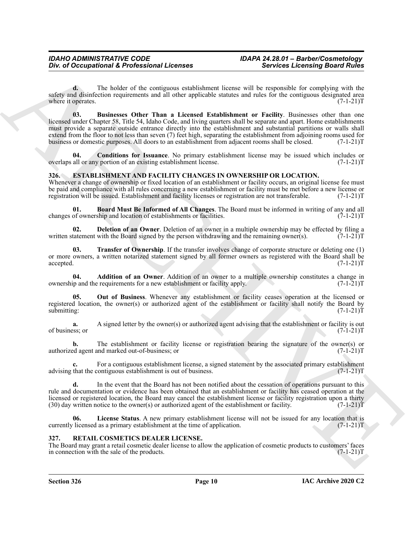<span id="page-9-9"></span>**d.** The holder of the contiguous establishment license will be responsible for complying with the safety and disinfection requirements and all other applicable statutes and rules for the contiguous designated area<br>(7-1-21)T where it operates.

One of Occupational K. Professional Licences<br>
series a Correspondent K. Professional Licences<br>
series a Correspondent S. The ballet of the control of the series and the series and the series and the series and the series **03. Businesses Other Than a Licensed Establishment or Facility**. Businesses other than one licensed under Chapter 58, Title 54, Idaho Code, and living quarters shall be separate and apart. Home establishments must provide a separate outside entrance directly into the establishment and substantial partitions or walls shall extend from the floor to not less than seven (7) feet high, separating the establishment from adjoining rooms used for business or domestic purposes. All doors to an establishment from adjacent rooms shall be closed. (7-1-21)T

<span id="page-9-10"></span>**Conditions for Issuance**. No primary establishment license may be issued which includes or portion of an existing establishment license. (7-1-21) overlaps all or any portion of an existing establishment license.

#### <span id="page-9-2"></span><span id="page-9-0"></span>**326. ESTABLISHMENT AND FACILITY CHANGES IN OWNERSHIP OR LOCATION.**

Whenever a change of ownership or fixed location of an establishment or facility occurs, an original license fee must be paid and compliance with all rules concerning a new establishment or facility must be met before a new license or registration will be issued. Establishment and facility licenses or registration are not transferable. (7 registration will be issued. Establishment and facility licenses or registration are not transferable.

<span id="page-9-4"></span>**01. Board Must Be Informed of All Changes**. The Board must be informed in writing of any and all changes of ownership and location of establishments or facilities.

<span id="page-9-5"></span>**02. Deletion of an Owner**. Deletion of an owner in a multiple ownership may be effected by filing a tatement with the Board signed by the person withdrawing and the remaining owner(s).  $(7-1-21)T$ written statement with the Board signed by the person withdrawing and the remaining owner(s).

<span id="page-9-8"></span>**03. Transfer of Ownership**. If the transfer involves change of corporate structure or deleting one (1) or more owners, a written notarized statement signed by all former owners as registered with the Board shall be accepted. (7-1-21)T accepted. (7-1-21)T

<span id="page-9-3"></span>**04. Addition of an Owner**. Addition of an owner to a multiple ownership constitutes a change in ip and the requirements for a new establishment or facility apply.  $(7-1-21)$ ownership and the requirements for a new establishment or facility apply.

<span id="page-9-7"></span>**05. Out of Business**. Whenever any establishment or facility ceases operation at the licensed or registered location, the owner(s) or authorized agent of the establishment or facility shall notify the Board by submitting:  $(7-1-21)$ submitting:  $(7-1-21)$ T

**a.** A signed letter by the owner(s) or authorized agent advising that the establishment or facility is out sess; or of business; or

**b.** The establishment or facility license or registration bearing the signature of the owner(s) or ed agent and marked out-of-business; or authorized agent and marked out-of-business; or

For a contiguous establishment license, a signed statement by the associated primary establishment contiguous establishment is out of business. (7-1-21)<sup>T</sup> advising that the contiguous establishment is out of business.

**d.** In the event that the Board has not been notified about the cessation of operations pursuant to this rule and documentation or evidence has been obtained that an establishment or facility has ceased operation at the licensed or registered location, the Board may cancel the establishment license or facility registration upon a thirty (30) day written notice to the owner(s) or authorized agent of the establishment or facility.  $(7-1-21)$ T

<span id="page-9-6"></span>**06. License Status**. A new primary establishment license will not be issued for any location that is currently licensed as a primary establishment at the time of application. (7-1-21)T

#### <span id="page-9-11"></span><span id="page-9-1"></span>**327. RETAIL COSMETICS DEALER LICENSE.**

The Board may grant a retail cosmetic dealer license to allow the application of cosmetic products to customers' faces in connection with the sale of the products. (7-1-21) in connection with the sale of the products.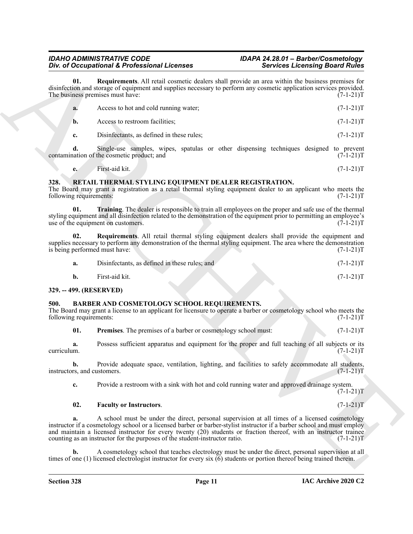<span id="page-10-6"></span>

|                                        | Div. of Occupational & Professional Licenses                                                                                | <b>Services Licensing Board Rules</b>                                                                                                                                                                                                                                                                                                                                         |
|----------------------------------------|-----------------------------------------------------------------------------------------------------------------------------|-------------------------------------------------------------------------------------------------------------------------------------------------------------------------------------------------------------------------------------------------------------------------------------------------------------------------------------------------------------------------------|
| 01.                                    | The business premises must have:                                                                                            | Requirements. All retail cosmetic dealers shall provide an area within the business premises for<br>disinfection and storage of equipment and supplies necessary to perform any cosmetic application services provided.<br>$(7-1-21)T$                                                                                                                                        |
| a.                                     | Access to hot and cold running water;                                                                                       | $(7-1-21)T$                                                                                                                                                                                                                                                                                                                                                                   |
| b.                                     | Access to restroom facilities;                                                                                              | $(7-1-21)T$                                                                                                                                                                                                                                                                                                                                                                   |
| c.                                     | Disinfectants, as defined in these rules;                                                                                   | $(7-1-21)T$                                                                                                                                                                                                                                                                                                                                                                   |
| d.                                     | contamination of the cosmetic product; and                                                                                  | Single-use samples, wipes, spatulas or other dispensing techniques designed to prevent<br>$(7-1-21)T$                                                                                                                                                                                                                                                                         |
| e.                                     | First-aid kit.                                                                                                              | $(7-1-21)T$                                                                                                                                                                                                                                                                                                                                                                   |
| 328.<br>following requirements:<br>01. | RETAIL THERMAL STYLING EQUIPMENT DEALER REGISTRATION.<br>use of the equipment on customers.                                 | The Board may grant a registration as a retail thermal styling equipment dealer to an applicant who meets the<br>$(7-1-21)T$<br>Training. The dealer is responsible to train all employees on the proper and safe use of the thermal<br>styling equipment and all disinfection related to the demonstration of the equipment prior to permitting an employee's<br>$(7-1-21)T$ |
| 02.<br>is being performed must have:   |                                                                                                                             | Requirements. All retail thermal styling equipment dealers shall provide the equipment and<br>supplies necessary to perform any demonstration of the thermal styling equipment. The area where the demonstration<br>$(7-1-21)T$                                                                                                                                               |
| a.                                     | Disinfectants, as defined in these rules; and                                                                               | $(7-1-21)T$                                                                                                                                                                                                                                                                                                                                                                   |
| $\mathbf{b}$ .                         | First-aid kit.                                                                                                              | $(7-1-21)T$                                                                                                                                                                                                                                                                                                                                                                   |
| 329. -- 499. (RESERVED)                |                                                                                                                             |                                                                                                                                                                                                                                                                                                                                                                               |
| 500.<br>following requirements:        | BARBER AND COSMETOLOGY SCHOOL REQUIREMENTS.                                                                                 | The Board may grant a license to an applicant for licensure to operate a barber or cosmetology school who meets the<br>$(7-1-21)T$                                                                                                                                                                                                                                            |
| 01.                                    | Premises. The premises of a barber or cosmetology school must:                                                              | $(7-1-21)T$                                                                                                                                                                                                                                                                                                                                                                   |
| a.<br>curriculum.                      |                                                                                                                             | Possess sufficient apparatus and equipment for the proper and full teaching of all subjects or its<br>$(7-1-21)T$                                                                                                                                                                                                                                                             |
| b.<br>instructors, and customers.      |                                                                                                                             | Provide adequate space, ventilation, lighting, and facilities to safely accommodate all students,<br>$(7-1-21)T$                                                                                                                                                                                                                                                              |
| c.                                     |                                                                                                                             | Provide a restroom with a sink with hot and cold running water and approved drainage system.<br>$(7-1-21)T$                                                                                                                                                                                                                                                                   |
| 02.                                    | <b>Faculty or Instructors.</b>                                                                                              | $(7-1-21)T$                                                                                                                                                                                                                                                                                                                                                                   |
| a.                                     | counting as an instructor for the purposes of the student-instructor ratio.                                                 | A school must be under the direct, personal supervision at all times of a licensed cosmetology<br>instructor if a cosmetology school or a licensed barber or barber-stylist instructor if a barber school and must employ<br>and maintain a licensed instructor for every twenty (20) students or fraction thereof, with an instructor trainee<br>$(7-1-21)T$                 |
| b.                                     | times of one $(1)$ licensed electrologist instructor for every six $(6)$ students or portion thereof being trained therein. | A cosmetology school that teaches electrology must be under the direct, personal supervision at all                                                                                                                                                                                                                                                                           |
|                                        |                                                                                                                             |                                                                                                                                                                                                                                                                                                                                                                               |

#### <span id="page-10-9"></span><span id="page-10-7"></span><span id="page-10-0"></span>**328. RETAIL THERMAL STYLING EQUIPMENT DEALER REGISTRATION.**

<span id="page-10-8"></span>

| Disinfectants, as defined in these rules; and | $(7-1-21)T$ |
|-----------------------------------------------|-------------|
|                                               |             |

#### <span id="page-10-1"></span>**329. -- 499. (RESERVED)**

#### <span id="page-10-5"></span><span id="page-10-3"></span><span id="page-10-2"></span>**500. BARBER AND COSMETOLOGY SCHOOL REQUIREMENTS.**

#### <span id="page-10-4"></span>**02. Faculty or Instructors**. (7-1-21)T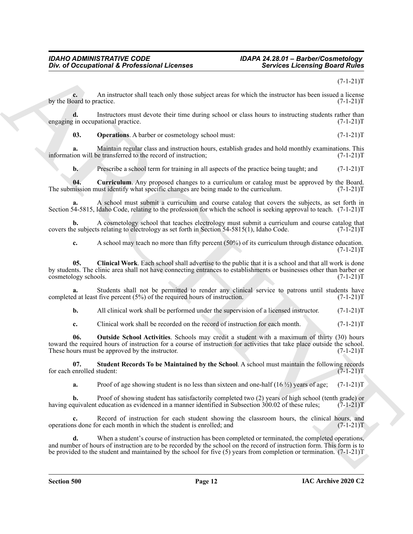#### $(7-1-21)T$

**c.** An instructor shall teach only those subject areas for which the instructor has been issued a license oard to practice. (7-1-21) by the Board to practice.

**d.** Instructors must devote their time during school or class hours to instructing students rather than  $\gamma$  in occupational practice. (7-1-21) engaging in occupational practice.

<span id="page-11-2"></span>**03.** Operations. A barber or cosmetology school must:  $(7-1-21)T$ 

**a.** Maintain regular class and instruction hours, establish grades and hold monthly examinations. This ion will be transferred to the record of instruction;  $(7-1-21)$ information will be transferred to the record of instruction;

<span id="page-11-1"></span>**b.** Prescribe a school term for training in all aspects of the practice being taught; and  $(7-1-21)$ T

**04.** Curriculum. Any proposed changes to a curriculum or catalog must be approved by the Board.<br>mission must identify what specific changes are being made to the curriculum. (7-1-21) The submission must identify what specific changes are being made to the curriculum.

**a.** A school must submit a curriculum and course catalog that covers the subjects, as set forth in Section 54-5815, Idaho Code, relating to the profession for which the school is seeking approval to teach. (7-1-21)T

**b.** A cosmetology school that teaches electrology must submit a curriculum and course catalog that the subjects relating to electrology as set forth in Section 54-5815(1), Idaho Code. (7-1-21)T covers the subjects relating to electrology as set forth in Section  $54-5815(1)$ , Idaho Code.

<span id="page-11-0"></span>**c.** A school may teach no more than fifty percent (50%) of its curriculum through distance education.  $(7-1-21)T$ 

One of Occupational K. Professional Licenses<br>
Sevides Leconsing Board Subset<br>
Sevides Leconsing Board Subset<br>
Sevides Leconsing Board Subset<br>
Sevides Leconsing and Subset of the Subset of the Subset of the Subset of the S **05. Clinical Work**. Each school shall advertise to the public that it is a school and that all work is done by students. The clinic area shall not have connecting entrances to establishments or businesses other than barber or cosmetology schools. (7-1-21) cosmetology schools.

**a.** Students shall not be permitted to render any clinical service to patrons until students have d at least five percent (5%) of the required hours of instruction. (7-1-21) completed at least five percent  $(5%)$  of the required hours of instruction.

**b.** All clinical work shall be performed under the supervision of a licensed instructor. (7-1-21)T

<span id="page-11-3"></span>**c.** Clinical work shall be recorded on the record of instruction for each month. (7-1-21)T

**06. Outside School Activities**. Schools may credit a student with a maximum of thirty (30) hours toward the required hours of instruction for a course of instruction for activities that take place outside the school.<br>These hours must be approved by the instructor. (7-1-21) These hours must be approved by the instructor.

**07. Student Records To be Maintained by the School**. A school must maintain the following records enrolled student: (7-1-21)T for each enrolled student:

<span id="page-11-4"></span>**a.** Proof of age showing student is no less than sixteen and one-half  $(16 \frac{1}{2})$  years of age;  $(7-1-21)$ T

**b.** Proof of showing student has satisfactorily completed two (2) years of high school (tenth grade) or quivalent education as evidenced in a manner identified in Subsection 300.02 of these rules; (7-1-21) having equivalent education as evidenced in a manner identified in Subsection 300.02 of these rules;

**c.** Record of instruction for each student showing the classroom hours, the clinical hours, and operations done for each month in which the student is enrolled; and (7-1-21)T

**d.** When a student's course of instruction has been completed or terminated, the completed operations, and number of hours of instruction are to be recorded by the school on the record of instruction form. This form is to be provided to the student and maintained by the school for five (5) years from completion or termination.  $(7-1-21)$ T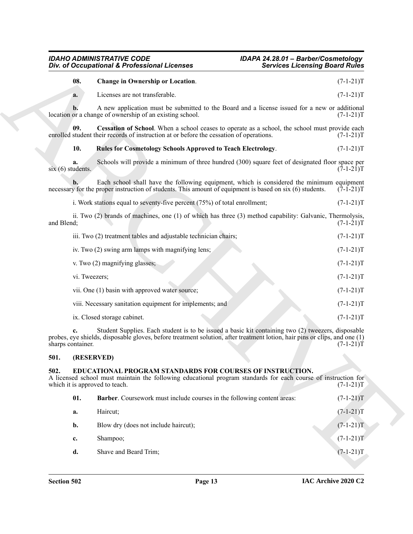#### <span id="page-12-4"></span><span id="page-12-3"></span><span id="page-12-2"></span>*IDAHO ADMINISTRATIVE CODE IDAPA 24.28.01 – Barber/Cosmetology Div. of Occupational & Professional Licenses Services Licensing Board Rules*

|                   |               | Div. of Occupational & Professional Licenses                                                                                                                                                                                     | <b>Services Licensing Board Rules</b> |
|-------------------|---------------|----------------------------------------------------------------------------------------------------------------------------------------------------------------------------------------------------------------------------------|---------------------------------------|
|                   | 08.           | <b>Change in Ownership or Location.</b>                                                                                                                                                                                          | $(7-1-21)T$                           |
|                   | a.            | Licenses are not transferable.                                                                                                                                                                                                   | $(7-1-21)T$                           |
|                   | b.            | A new application must be submitted to the Board and a license issued for a new or additional<br>location or a change of ownership of an existing school.                                                                        | $(7-1-21)T$                           |
|                   | 09.           | Cessation of School. When a school ceases to operate as a school, the school must provide each<br>enrolled student their records of instruction at or before the cessation of operations.                                        | $(7-1-21)T$                           |
|                   | 10.           | <b>Rules for Cosmetology Schools Approved to Teach Electrology.</b>                                                                                                                                                              | $(7-1-21)T$                           |
| six(6) students.  | a.            | Schools will provide a minimum of three hundred (300) square feet of designated floor space per                                                                                                                                  | $(7-1-21)T$                           |
|                   |               | Each school shall have the following equipment, which is considered the minimum equipment<br>necessary for the proper instruction of students. This amount of equipment is based on six (6) students.                            | $(7-1-21)T$                           |
|                   |               | i. Work stations equal to seventy-five percent (75%) of total enrollment;                                                                                                                                                        | $(7-1-21)T$                           |
| and Blend;        |               | ii. Two (2) brands of machines, one (1) of which has three (3) method capability: Galvanic, Thermolysis,                                                                                                                         | $(7-1-21)T$                           |
|                   |               | iii. Two (2) treatment tables and adjustable technician chairs;                                                                                                                                                                  | $(7-1-21)T$                           |
|                   |               | iv. Two (2) swing arm lamps with magnifying lens;                                                                                                                                                                                | $(7-1-21)T$                           |
|                   |               | v. Two (2) magnifying glasses;                                                                                                                                                                                                   | $(7-1-21)T$                           |
|                   | vi. Tweezers; |                                                                                                                                                                                                                                  | $(7-1-21)T$                           |
|                   |               | vii. One (1) basin with approved water source;                                                                                                                                                                                   | $(7-1-21)T$                           |
|                   |               | viii. Necessary sanitation equipment for implements; and                                                                                                                                                                         | $(7-1-21)T$                           |
|                   |               | ix. Closed storage cabinet.                                                                                                                                                                                                      | $(7-1-21)T$                           |
| sharps container. |               | Student Supplies. Each student is to be issued a basic kit containing two (2) tweezers, disposable<br>probes, eye shields, disposable gloves, before treatment solution, after treatment lotion, hair pins or clips, and one (1) | $(7-1-21)T$                           |
| 501.              | (RESERVED)    |                                                                                                                                                                                                                                  |                                       |
| 502.              |               | EDUCATIONAL PROGRAM STANDARDS FOR COURSES OF INSTRUCTION.<br>A licensed school must maintain the following educational program standards for each course of instruction for<br>which it is approved to teach.                    | $(7-1-21)T$                           |
|                   | 01.           | Barber. Coursework must include courses in the following content areas:                                                                                                                                                          | $(7-1-21)T$                           |
|                   | a.            | Haircut;                                                                                                                                                                                                                         | $(7-1-21)T$                           |
|                   | b.            | Blow dry (does not include haircut);                                                                                                                                                                                             | $(7-1-21)\overline{T}$                |
|                   | c.            | Shampoo;                                                                                                                                                                                                                         | $(7-1-21)T$                           |
|                   |               |                                                                                                                                                                                                                                  |                                       |

#### <span id="page-12-0"></span>**501. (RESERVED)**

#### <span id="page-12-5"></span><span id="page-12-1"></span>**502. EDUCATIONAL PROGRAM STANDARDS FOR COURSES OF INSTRUCTION.**

<span id="page-12-6"></span>

| 01. | <b>Barber.</b> Coursework must include courses in the following content areas: | $(7-1-21)T$ |
|-----|--------------------------------------------------------------------------------|-------------|
| a.  | Haircut;                                                                       | $(7-1-21)T$ |
| b.  | Blow dry (does not include haircut);                                           | $(7-1-21)T$ |
| c.  | Shampoo;                                                                       | $(7-1-21)T$ |
| d.  | Shave and Beard Trim;                                                          | $(7-1-21)T$ |
|     |                                                                                |             |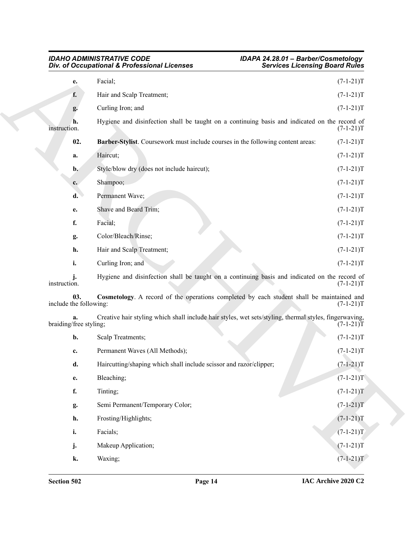<span id="page-13-1"></span><span id="page-13-0"></span>

| IDAHO ADMINISTRATIVE CODE                    | IDAPA 24.28.01 - Barber/Cosmetology   |
|----------------------------------------------|---------------------------------------|
| Div. of Occupational & Professional Licenses | <b>Services Licensing Board Rules</b> |

|                               | Div. of Occupational & Professional Licenses                                                           | <b>Services Licensing Board Rules</b> |  |
|-------------------------------|--------------------------------------------------------------------------------------------------------|---------------------------------------|--|
| e.                            | Facial;                                                                                                | $(7-1-21)T$                           |  |
| f.                            | Hair and Scalp Treatment;                                                                              | $(7-1-21)T$                           |  |
| g.                            | Curling Iron; and                                                                                      | $(7-1-21)T$                           |  |
| h.<br>instruction.            | Hygiene and disinfection shall be taught on a continuing basis and indicated on the record of          | $(7-1-21)T$                           |  |
| 02.                           | Barber-Stylist. Coursework must include courses in the following content areas:                        | $(7-1-21)T$                           |  |
| a.                            | Haircut;                                                                                               | $(7-1-21)T$                           |  |
| $\mathbf{b}$ .                | Style/blow dry (does not include haircut);                                                             | $(7-1-21)T$                           |  |
| $c_{\cdot}$                   | Shampoo;                                                                                               | $(7-1-21)T$                           |  |
| d.                            | Permanent Wave;                                                                                        | $(7-1-21)T$                           |  |
| e.                            | Shave and Beard Trim;                                                                                  | $(7-1-21)T$                           |  |
| f.                            | Facial;                                                                                                | $(7-1-21)T$                           |  |
| g.                            | Color/Bleach/Rinse;                                                                                    | $(7-1-21)T$                           |  |
| h.                            | Hair and Scalp Treatment;                                                                              | $(7-1-21)T$                           |  |
| i.                            | Curling Iron; and                                                                                      | $(7-1-21)T$                           |  |
| instruction.                  | Hygiene and disinfection shall be taught on a continuing basis and indicated on the record of          | $(7-1-21)T$                           |  |
| 03.<br>include the following: | Cosmetology. A record of the operations completed by each student shall be maintained and              | $(7-1-21)T$                           |  |
| braiding/free styling;        | Creative hair styling which shall include hair styles, wet sets/styling, thermal styles, fingerwaving, | $(7-1-21)T$                           |  |
| b.                            | Scalp Treatments;                                                                                      | $(7-1-21)T$                           |  |
| c.                            | Permanent Waves (All Methods);                                                                         | $(7-1-21)T$                           |  |
| d.                            | Haircutting/shaping which shall include scissor and razor/clipper;                                     | $(7-1-21)T$                           |  |
| e.                            | Bleaching;                                                                                             | $(7-1-21)T$                           |  |
| f.                            | Tinting;                                                                                               | $(7-1-21)T$                           |  |
| g.                            | Semi Permanent/Temporary Color;                                                                        | $(7-1-21)T$                           |  |
| h.                            | Frosting/Highlights;                                                                                   | $(7-1-21)T$                           |  |
| i.                            | Facials;                                                                                               | $(7-1-21)T$                           |  |
| j.                            | Makeup Application;                                                                                    | $(7-1-21)T$                           |  |
| k.                            | Waxing;                                                                                                | $(7-1-21)T$                           |  |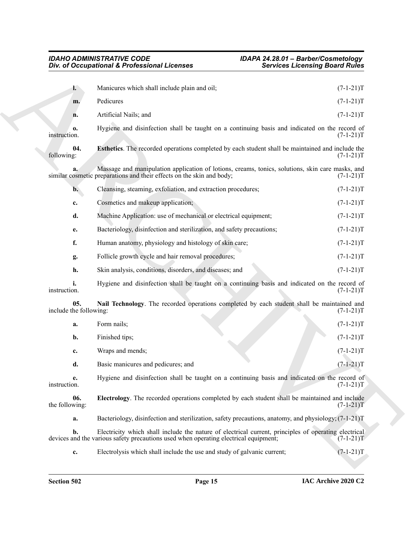<span id="page-14-2"></span><span id="page-14-1"></span><span id="page-14-0"></span>

| Div. of Occupational & Professional Licenses                                                                                                                                                                                                                                                                                                                                                                                                |                                                                                                                                                                           | <b>Services Licensing Board Rules</b> |             |
|---------------------------------------------------------------------------------------------------------------------------------------------------------------------------------------------------------------------------------------------------------------------------------------------------------------------------------------------------------------------------------------------------------------------------------------------|---------------------------------------------------------------------------------------------------------------------------------------------------------------------------|---------------------------------------|-------------|
| $l -$                                                                                                                                                                                                                                                                                                                                                                                                                                       | Manicures which shall include plain and oil;                                                                                                                              |                                       | $(7-1-21)T$ |
| m.                                                                                                                                                                                                                                                                                                                                                                                                                                          | Pedicures                                                                                                                                                                 |                                       | $(7-1-21)T$ |
| n.                                                                                                                                                                                                                                                                                                                                                                                                                                          | Artificial Nails; and                                                                                                                                                     |                                       | $(7-1-21)T$ |
| 0.<br>instruction.                                                                                                                                                                                                                                                                                                                                                                                                                          | Hygiene and disinfection shall be taught on a continuing basis and indicated on the record of                                                                             |                                       | $(7-1-21)T$ |
| 04.<br>following:                                                                                                                                                                                                                                                                                                                                                                                                                           | Esthetics. The recorded operations completed by each student shall be maintained and include the                                                                          |                                       | $(7-1-21)T$ |
|                                                                                                                                                                                                                                                                                                                                                                                                                                             | Massage and manipulation application of lotions, creams, tonics, solutions, skin care masks, and<br>similar cosmetic preparations and their effects on the skin and body; |                                       | $(7-1-21)T$ |
| $\mathbf{b}$ .                                                                                                                                                                                                                                                                                                                                                                                                                              | Cleansing, steaming, exfoliation, and extraction procedures;                                                                                                              |                                       | $(7-1-21)T$ |
| c.                                                                                                                                                                                                                                                                                                                                                                                                                                          | Cosmetics and makeup application;                                                                                                                                         |                                       | $(7-1-21)T$ |
| d.                                                                                                                                                                                                                                                                                                                                                                                                                                          | Machine Application: use of mechanical or electrical equipment;                                                                                                           |                                       | $(7-1-21)T$ |
| e.                                                                                                                                                                                                                                                                                                                                                                                                                                          | Bacteriology, disinfection and sterilization, and safety precautions;                                                                                                     |                                       | $(7-1-21)T$ |
| f.                                                                                                                                                                                                                                                                                                                                                                                                                                          | Human anatomy, physiology and histology of skin care;                                                                                                                     |                                       | $(7-1-21)T$ |
| g.                                                                                                                                                                                                                                                                                                                                                                                                                                          | Follicle growth cycle and hair removal procedures;                                                                                                                        |                                       | $(7-1-21)T$ |
| h.                                                                                                                                                                                                                                                                                                                                                                                                                                          | Skin analysis, conditions, disorders, and diseases; and                                                                                                                   |                                       | $(7-1-21)T$ |
| i.<br>instruction.                                                                                                                                                                                                                                                                                                                                                                                                                          | Hygiene and disinfection shall be taught on a continuing basis and indicated on the record of                                                                             |                                       | $(7-1-21)T$ |
| 05.<br>include the following:                                                                                                                                                                                                                                                                                                                                                                                                               | Nail Technology. The recorded operations completed by each student shall be maintained and                                                                                |                                       | $(7-1-21)T$ |
| a.                                                                                                                                                                                                                                                                                                                                                                                                                                          | Form nails;                                                                                                                                                               |                                       | $(7-1-21)T$ |
| b.                                                                                                                                                                                                                                                                                                                                                                                                                                          | Finished tips;                                                                                                                                                            |                                       | $(7-1-21)T$ |
| c.                                                                                                                                                                                                                                                                                                                                                                                                                                          | Wraps and mends;                                                                                                                                                          |                                       | $(7-1-21)T$ |
| d.                                                                                                                                                                                                                                                                                                                                                                                                                                          | Basic manicures and pedicures; and                                                                                                                                        |                                       | $(7-1-21)T$ |
| e.<br>instruction.                                                                                                                                                                                                                                                                                                                                                                                                                          | Hygiene and disinfection shall be taught on a continuing basis and indicated on the record of                                                                             |                                       | $(7-1-21)T$ |
| 06.<br>Electrology. The recorded operations completed by each student shall be maintained and include<br>the following:<br>Bacteriology, disinfection and sterilization, safety precautions, anatomy, and physiology; (7-1-21)T<br>a.<br>Electricity which shall include the nature of electrical current, principles of operating electrical<br>b.<br>devices and the various safety precautions used when operating electrical equipment; |                                                                                                                                                                           |                                       | $(7-1-21)T$ |
|                                                                                                                                                                                                                                                                                                                                                                                                                                             |                                                                                                                                                                           |                                       |             |
|                                                                                                                                                                                                                                                                                                                                                                                                                                             |                                                                                                                                                                           |                                       | $(7-1-21)T$ |
|                                                                                                                                                                                                                                                                                                                                                                                                                                             |                                                                                                                                                                           |                                       |             |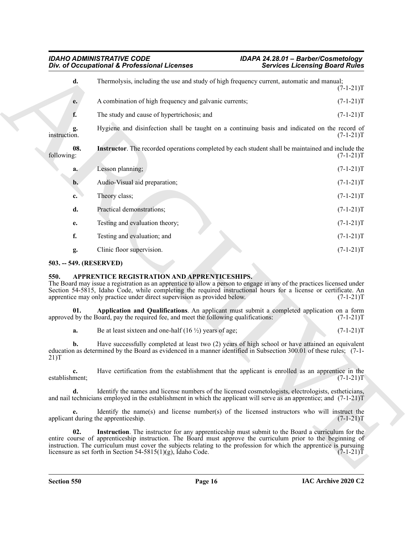<span id="page-15-5"></span>

| Thermolysis, including the use and study of high frequency current, automatic and manual;<br>d.                                                                                                                                                                                                                                                                               | $(7-1-21)T$                                                                                      |
|-------------------------------------------------------------------------------------------------------------------------------------------------------------------------------------------------------------------------------------------------------------------------------------------------------------------------------------------------------------------------------|--------------------------------------------------------------------------------------------------|
|                                                                                                                                                                                                                                                                                                                                                                               |                                                                                                  |
| A combination of high frequency and galvanic currents;<br>e.                                                                                                                                                                                                                                                                                                                  | $(7-1-21)T$                                                                                      |
| f.<br>The study and cause of hypertrichosis; and                                                                                                                                                                                                                                                                                                                              | $(7-1-21)T$                                                                                      |
| Hygiene and disinfection shall be taught on a continuing basis and indicated on the record of<br>g.<br>instruction.                                                                                                                                                                                                                                                           | $(7-1-21)T$                                                                                      |
| 08.<br>Instructor. The recorded operations completed by each student shall be maintained and include the<br>following:                                                                                                                                                                                                                                                        | $(7-1-21)T$                                                                                      |
| Lesson planning;<br>a.                                                                                                                                                                                                                                                                                                                                                        | $(7-1-21)T$                                                                                      |
| Audio-Visual aid preparation;<br>$\mathbf{b}$ .                                                                                                                                                                                                                                                                                                                               | $(7-1-21)T$                                                                                      |
| Theory class;<br>c.                                                                                                                                                                                                                                                                                                                                                           | $(7-1-21)T$                                                                                      |
| Practical demonstrations;<br>d.                                                                                                                                                                                                                                                                                                                                               | $(7-1-21)T$                                                                                      |
| Testing and evaluation theory;<br>е.                                                                                                                                                                                                                                                                                                                                          | $(7-1-21)T$                                                                                      |
| f.<br>Testing and evaluation; and                                                                                                                                                                                                                                                                                                                                             | $(7-1-21)T$                                                                                      |
| Clinic floor supervision.<br>g.                                                                                                                                                                                                                                                                                                                                               | $(7-1-21)T$                                                                                      |
| 503. -- 549. (RESERVED)                                                                                                                                                                                                                                                                                                                                                       |                                                                                                  |
| APPRENTICE REGISTRATION AND APPRENTICESHIPS.<br>550.<br>The Board may issue a registration as an apprentice to allow a person to engage in any of the practices licensed under<br>Section 54-5815, Idaho Code, while completing the required instructional hours for a license or certificate. An<br>apprentice may only practice under direct supervision as provided below. | $(7-1-21)T$                                                                                      |
| Application and Qualifications. An applicant must submit a completed application on a form<br>01.<br>approved by the Board, pay the required fee, and meet the following qualifications:                                                                                                                                                                                      | $(7-1-21)T$                                                                                      |
| Be at least sixteen and one-half $(16 \frac{1}{2})$ years of age;<br>a.                                                                                                                                                                                                                                                                                                       | $(7-1-21)T$                                                                                      |
| Have successfully completed at least two (2) years of high school or have attained an equivalent<br>b.<br>education as determined by the Board as evidenced in a manner identified in Subsection 300.01 of these rules; (7-1-<br>21)T                                                                                                                                         |                                                                                                  |
| Have certification from the establishment that the applicant is enrolled as an apprentice in the<br>$c_{\cdot}$<br>establishment;                                                                                                                                                                                                                                             | $(7-1-21)T$                                                                                      |
| d.<br>Identify the names and license numbers of the licensed cosmetologists, electrologists, estheticians,<br>and nail technicians employed in the establishment in which the applicant will serve as an apprentice; and $(7-1-21)$ T                                                                                                                                         |                                                                                                  |
| Identify the name(s) and license number(s) of the licensed instructors who will instruct the<br>applicant during the apprenticeship.                                                                                                                                                                                                                                          | $(7-1-21)T$                                                                                      |
| 02.                                                                                                                                                                                                                                                                                                                                                                           | Instruction. The instructor for any apprenticeship must submit to the Board a curriculum for the |
| entire course of apprenticeship instruction. The Board must approve the curriculum prior to the beginning of<br>instruction. The curriculum must cover the subjects relating to the profession for which the apprentice is pursuing<br>licensure as set forth in Section $54-5815(1)(g)$ , Idaho Code.                                                                        | $(7-1-21)T$                                                                                      |

#### <span id="page-15-0"></span>**503. -- 549. (RESERVED)**

#### <span id="page-15-4"></span><span id="page-15-3"></span><span id="page-15-2"></span><span id="page-15-1"></span>**550. APPRENTICE REGISTRATION AND APPRENTICESHIPS.**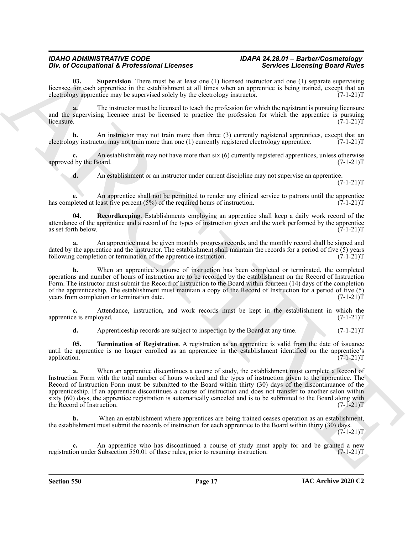<span id="page-16-1"></span>**Supervision**. There must be at least one (1) licensed instructor and one (1) separate supervising licensee for each apprentice in the establishment at all times when an apprentice is being trained, except that an electrology apprentice may be supervised solely by the electrology instructor. (7-1-21) electrology apprentice may be supervised solely by the electrology instructor.

**a.** The instructor must be licensed to teach the profession for which the registrant is pursuing licensure and the supervising licensee must be licensed to practice the profession for which the apprentice is pursuing licensure.  $(7-1-21)T$  $l$  (7-1-21)T

**b.** An instructor may not train more than three (3) currently registered apprentices, except that an gy instructor may not train more than one (1) currently registered electrology apprentice. (7-1-21) electrology instructor may not train more than one (1) currently registered electrology apprentice.

**c.** An establishment may not have more than six (6) currently registered apprentices, unless otherwise l by the Board. (7-1-21)T approved by the Board.

<span id="page-16-0"></span>**d.** An establishment or an instructor under current discipline may not supervise an apprentice.  $(7-1-21)T$ 

**e.** An apprentice shall not be permitted to render any clinical service to patrons until the apprentice has completed at least five percent (5%) of the required hours of instruction.  $(7-1-21)T$ 

**04. Recordkeeping**. Establishments employing an apprentice shall keep a daily work record of the attendance of the apprentice and a record of the types of instruction given and the work performed by the apprentice as set forth below.  $(7-1-21)$ as set forth below.

**a.** An apprentice must be given monthly progress records, and the monthly record shall be signed and dated by the apprentice and the instructor. The establishment shall maintain the records for a period of five (5) years following completion or termination of the apprentice instruction.  $(7-1-21)$ following completion or termination of the apprentice instruction.

**b.** When an apprentice's course of instruction has been completed or terminated, the completed operations and number of hours of instruction are to be recorded by the establishment on the Record of Instruction Form. The instructor must submit the Record of Instruction to the Board within fourteen (14) days of the completion of the apprenticeship. The establishment must maintain a copy of the Record of Instruction for a period of five (5) years from completion or termination date.  $(7-1-21)$ T

**c.** Attendance, instruction, and work records must be kept in the establishment in which the ce is employed. (7-1-21)T apprentice is employed.

<span id="page-16-2"></span>**d.** Apprenticeship records are subject to inspection by the Board at any time. (7-1-21)T

**05. Termination of Registration**. A registration as an apprentice is valid from the date of issuance until the apprentice is no longer enrolled as an apprentice in the establishment identified on the apprentice's application. (7-1-21)T application. (7-1-21)T

The of Decemphonical E. Postellation and the state is a state of the state of the state of the state of the state of the state of the state of the state of the state of the state of the state of the state of the state of **a.** When an apprentice discontinues a course of study, the establishment must complete a Record of Instruction Form with the total number of hours worked and the types of instruction given to the apprentice. The Record of Instruction Form must be submitted to the Board within thirty (30) days of the discontinuance of the apprenticeship. If an apprentice discontinues a course of instruction and does not transfer to another salon within sixty (60) days, the apprentice registration is automatically canceled and is to be submitted to the Board along with the Record of Instruction. (7-1-21)T the Record of Instruction.

**b.** When an establishment where apprentices are being trained ceases operation as an establishment, the establishment must submit the records of instruction for each apprentice to the Board within thirty (30) days.  $(7-1-21)T$ 

**c.** An apprentice who has discontinued a course of study must apply for and be granted a new on under Subsection 550.01 of these rules, prior to resuming instruction. (7-1-21) registration under Subsection 550.01 of these rules, prior to resuming instruction.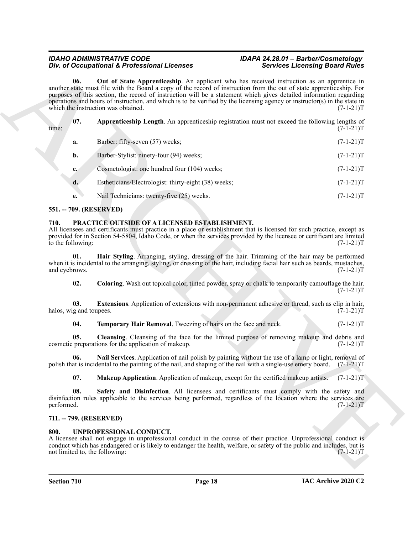<span id="page-17-5"></span>

| <b>Out of State Apprenticeship.</b> An applicant who has received instruction as an apprentice in<br>06.<br>another state must file with the Board a copy of the record of instruction from the out of state apprenticeship. For<br>purposes of this section, the record of instruction will be a statement which gives detailed information regarding<br>operations and hours of instruction, and which is to be verified by the licensing agency or instructor(s) in the state in<br>which the instruction was obtained.<br>07.<br>Apprenticeship Length. An apprenticeship registration must not exceed the following lengths of<br>time:<br>Barber: fifty-seven (57) weeks;<br>a.<br>Barber-Stylist: ninety-four (94) weeks;<br>b.<br>Cosmetologist: one hundred four (104) weeks;<br>$c_{\star}$<br>d.<br>Estheticians/Electrologist: thirty-eight (38) weeks;<br>Nail Technicians: twenty-five (25) weeks.<br>e.<br>551. -- 709. (RESERVED)<br>PRACTICE OUTSIDE OF A LICENSED ESTABLISHMENT.<br>710.<br>All licensees and certificants must practice in a place or establishment that is licensed for such practice, except as<br>provided for in Section 54-5804, Idaho Code, or when the services provided by the licensee or certificant are limited<br>to the following:<br>Hair Styling. Arranging, styling, dressing of the hair. Trimming of the hair may be performed<br>01.<br>when it is incidental to the arranging, styling, or dressing of the hair, including facial hair such as beards, mustaches,<br>and eyebrows.<br>02.<br>Coloring. Wash out topical color, tinted powder, spray or chalk to temporarily camouflage the hair.<br>Extensions. Application of extensions with non-permanent adhesive or thread, such as clip in hair,<br>03.<br>halos, wig and toupees.<br>Temporary Hair Removal. Tweezing of hairs on the face and neck.<br>04.<br>05.<br>Cleansing. Cleansing of the face for the limited purpose of removing makeup and debris and<br>cosmetic preparations for the application of makeup.<br>Nail Services. Application of nail polish by painting without the use of a lamp or light, removal of<br>U6.<br>polish that is incidental to the painting of the nail, and shaping of the nail with a single-use emery board. (7-1-21)T<br>07.<br>Makeup Application. Application of makeup, except for the certified makeup artists.<br>08.<br>Safety and Disinfection. All licensees and certificants must comply with the safety and<br>disinfection rules applicable to the services being performed, regardless of the location where the services are<br>performed.<br>711. -- 799. (RESERVED)<br>UNPROFESSIONAL CONDUCT.<br>800.<br>A licensee shall not engage in unprofessional conduct in the course of their practice. Unprofessional conduct is<br>conduct which has endangered or is likely to endanger the health, welfare, or safety of the public and includes, but is<br>not limited to, the following: |  | Div. of Occupational & Professional Licenses | <b>Services Licensing Board Rules</b> |             |
|-------------------------------------------------------------------------------------------------------------------------------------------------------------------------------------------------------------------------------------------------------------------------------------------------------------------------------------------------------------------------------------------------------------------------------------------------------------------------------------------------------------------------------------------------------------------------------------------------------------------------------------------------------------------------------------------------------------------------------------------------------------------------------------------------------------------------------------------------------------------------------------------------------------------------------------------------------------------------------------------------------------------------------------------------------------------------------------------------------------------------------------------------------------------------------------------------------------------------------------------------------------------------------------------------------------------------------------------------------------------------------------------------------------------------------------------------------------------------------------------------------------------------------------------------------------------------------------------------------------------------------------------------------------------------------------------------------------------------------------------------------------------------------------------------------------------------------------------------------------------------------------------------------------------------------------------------------------------------------------------------------------------------------------------------------------------------------------------------------------------------------------------------------------------------------------------------------------------------------------------------------------------------------------------------------------------------------------------------------------------------------------------------------------------------------------------------------------------------------------------------------------------------------------------------------------------------------------------------------------------------------------------------------------------------------------------------------------------------------------------------------------------------------------------------------------------------------------------------------------------------------------------------------------------------------------------------------------------|--|----------------------------------------------|---------------------------------------|-------------|
|                                                                                                                                                                                                                                                                                                                                                                                                                                                                                                                                                                                                                                                                                                                                                                                                                                                                                                                                                                                                                                                                                                                                                                                                                                                                                                                                                                                                                                                                                                                                                                                                                                                                                                                                                                                                                                                                                                                                                                                                                                                                                                                                                                                                                                                                                                                                                                                                                                                                                                                                                                                                                                                                                                                                                                                                                                                                                                                                                                   |  |                                              |                                       | $(7-1-21)T$ |
|                                                                                                                                                                                                                                                                                                                                                                                                                                                                                                                                                                                                                                                                                                                                                                                                                                                                                                                                                                                                                                                                                                                                                                                                                                                                                                                                                                                                                                                                                                                                                                                                                                                                                                                                                                                                                                                                                                                                                                                                                                                                                                                                                                                                                                                                                                                                                                                                                                                                                                                                                                                                                                                                                                                                                                                                                                                                                                                                                                   |  |                                              |                                       | $(7-1-21)T$ |
|                                                                                                                                                                                                                                                                                                                                                                                                                                                                                                                                                                                                                                                                                                                                                                                                                                                                                                                                                                                                                                                                                                                                                                                                                                                                                                                                                                                                                                                                                                                                                                                                                                                                                                                                                                                                                                                                                                                                                                                                                                                                                                                                                                                                                                                                                                                                                                                                                                                                                                                                                                                                                                                                                                                                                                                                                                                                                                                                                                   |  |                                              |                                       | $(7-1-21)T$ |
|                                                                                                                                                                                                                                                                                                                                                                                                                                                                                                                                                                                                                                                                                                                                                                                                                                                                                                                                                                                                                                                                                                                                                                                                                                                                                                                                                                                                                                                                                                                                                                                                                                                                                                                                                                                                                                                                                                                                                                                                                                                                                                                                                                                                                                                                                                                                                                                                                                                                                                                                                                                                                                                                                                                                                                                                                                                                                                                                                                   |  |                                              |                                       | $(7-1-21)T$ |
|                                                                                                                                                                                                                                                                                                                                                                                                                                                                                                                                                                                                                                                                                                                                                                                                                                                                                                                                                                                                                                                                                                                                                                                                                                                                                                                                                                                                                                                                                                                                                                                                                                                                                                                                                                                                                                                                                                                                                                                                                                                                                                                                                                                                                                                                                                                                                                                                                                                                                                                                                                                                                                                                                                                                                                                                                                                                                                                                                                   |  |                                              |                                       | $(7-1-21)T$ |
|                                                                                                                                                                                                                                                                                                                                                                                                                                                                                                                                                                                                                                                                                                                                                                                                                                                                                                                                                                                                                                                                                                                                                                                                                                                                                                                                                                                                                                                                                                                                                                                                                                                                                                                                                                                                                                                                                                                                                                                                                                                                                                                                                                                                                                                                                                                                                                                                                                                                                                                                                                                                                                                                                                                                                                                                                                                                                                                                                                   |  |                                              |                                       | $(7-1-21)T$ |
|                                                                                                                                                                                                                                                                                                                                                                                                                                                                                                                                                                                                                                                                                                                                                                                                                                                                                                                                                                                                                                                                                                                                                                                                                                                                                                                                                                                                                                                                                                                                                                                                                                                                                                                                                                                                                                                                                                                                                                                                                                                                                                                                                                                                                                                                                                                                                                                                                                                                                                                                                                                                                                                                                                                                                                                                                                                                                                                                                                   |  |                                              |                                       | $(7-1-21)T$ |
|                                                                                                                                                                                                                                                                                                                                                                                                                                                                                                                                                                                                                                                                                                                                                                                                                                                                                                                                                                                                                                                                                                                                                                                                                                                                                                                                                                                                                                                                                                                                                                                                                                                                                                                                                                                                                                                                                                                                                                                                                                                                                                                                                                                                                                                                                                                                                                                                                                                                                                                                                                                                                                                                                                                                                                                                                                                                                                                                                                   |  |                                              |                                       |             |
|                                                                                                                                                                                                                                                                                                                                                                                                                                                                                                                                                                                                                                                                                                                                                                                                                                                                                                                                                                                                                                                                                                                                                                                                                                                                                                                                                                                                                                                                                                                                                                                                                                                                                                                                                                                                                                                                                                                                                                                                                                                                                                                                                                                                                                                                                                                                                                                                                                                                                                                                                                                                                                                                                                                                                                                                                                                                                                                                                                   |  |                                              |                                       | $(7-1-21)T$ |
|                                                                                                                                                                                                                                                                                                                                                                                                                                                                                                                                                                                                                                                                                                                                                                                                                                                                                                                                                                                                                                                                                                                                                                                                                                                                                                                                                                                                                                                                                                                                                                                                                                                                                                                                                                                                                                                                                                                                                                                                                                                                                                                                                                                                                                                                                                                                                                                                                                                                                                                                                                                                                                                                                                                                                                                                                                                                                                                                                                   |  |                                              |                                       | $(7-1-21)T$ |
|                                                                                                                                                                                                                                                                                                                                                                                                                                                                                                                                                                                                                                                                                                                                                                                                                                                                                                                                                                                                                                                                                                                                                                                                                                                                                                                                                                                                                                                                                                                                                                                                                                                                                                                                                                                                                                                                                                                                                                                                                                                                                                                                                                                                                                                                                                                                                                                                                                                                                                                                                                                                                                                                                                                                                                                                                                                                                                                                                                   |  |                                              |                                       | $(7-1-21)T$ |
|                                                                                                                                                                                                                                                                                                                                                                                                                                                                                                                                                                                                                                                                                                                                                                                                                                                                                                                                                                                                                                                                                                                                                                                                                                                                                                                                                                                                                                                                                                                                                                                                                                                                                                                                                                                                                                                                                                                                                                                                                                                                                                                                                                                                                                                                                                                                                                                                                                                                                                                                                                                                                                                                                                                                                                                                                                                                                                                                                                   |  |                                              |                                       | $(7-1-21)T$ |
|                                                                                                                                                                                                                                                                                                                                                                                                                                                                                                                                                                                                                                                                                                                                                                                                                                                                                                                                                                                                                                                                                                                                                                                                                                                                                                                                                                                                                                                                                                                                                                                                                                                                                                                                                                                                                                                                                                                                                                                                                                                                                                                                                                                                                                                                                                                                                                                                                                                                                                                                                                                                                                                                                                                                                                                                                                                                                                                                                                   |  |                                              |                                       | $(7-1-21)T$ |
|                                                                                                                                                                                                                                                                                                                                                                                                                                                                                                                                                                                                                                                                                                                                                                                                                                                                                                                                                                                                                                                                                                                                                                                                                                                                                                                                                                                                                                                                                                                                                                                                                                                                                                                                                                                                                                                                                                                                                                                                                                                                                                                                                                                                                                                                                                                                                                                                                                                                                                                                                                                                                                                                                                                                                                                                                                                                                                                                                                   |  |                                              |                                       | $(7-1-21)T$ |
|                                                                                                                                                                                                                                                                                                                                                                                                                                                                                                                                                                                                                                                                                                                                                                                                                                                                                                                                                                                                                                                                                                                                                                                                                                                                                                                                                                                                                                                                                                                                                                                                                                                                                                                                                                                                                                                                                                                                                                                                                                                                                                                                                                                                                                                                                                                                                                                                                                                                                                                                                                                                                                                                                                                                                                                                                                                                                                                                                                   |  |                                              |                                       |             |
|                                                                                                                                                                                                                                                                                                                                                                                                                                                                                                                                                                                                                                                                                                                                                                                                                                                                                                                                                                                                                                                                                                                                                                                                                                                                                                                                                                                                                                                                                                                                                                                                                                                                                                                                                                                                                                                                                                                                                                                                                                                                                                                                                                                                                                                                                                                                                                                                                                                                                                                                                                                                                                                                                                                                                                                                                                                                                                                                                                   |  |                                              |                                       | $(7-1-21)T$ |
|                                                                                                                                                                                                                                                                                                                                                                                                                                                                                                                                                                                                                                                                                                                                                                                                                                                                                                                                                                                                                                                                                                                                                                                                                                                                                                                                                                                                                                                                                                                                                                                                                                                                                                                                                                                                                                                                                                                                                                                                                                                                                                                                                                                                                                                                                                                                                                                                                                                                                                                                                                                                                                                                                                                                                                                                                                                                                                                                                                   |  |                                              |                                       | $(7-1-21)T$ |
|                                                                                                                                                                                                                                                                                                                                                                                                                                                                                                                                                                                                                                                                                                                                                                                                                                                                                                                                                                                                                                                                                                                                                                                                                                                                                                                                                                                                                                                                                                                                                                                                                                                                                                                                                                                                                                                                                                                                                                                                                                                                                                                                                                                                                                                                                                                                                                                                                                                                                                                                                                                                                                                                                                                                                                                                                                                                                                                                                                   |  |                                              |                                       |             |
|                                                                                                                                                                                                                                                                                                                                                                                                                                                                                                                                                                                                                                                                                                                                                                                                                                                                                                                                                                                                                                                                                                                                                                                                                                                                                                                                                                                                                                                                                                                                                                                                                                                                                                                                                                                                                                                                                                                                                                                                                                                                                                                                                                                                                                                                                                                                                                                                                                                                                                                                                                                                                                                                                                                                                                                                                                                                                                                                                                   |  |                                              |                                       | $(7-1-21)T$ |
|                                                                                                                                                                                                                                                                                                                                                                                                                                                                                                                                                                                                                                                                                                                                                                                                                                                                                                                                                                                                                                                                                                                                                                                                                                                                                                                                                                                                                                                                                                                                                                                                                                                                                                                                                                                                                                                                                                                                                                                                                                                                                                                                                                                                                                                                                                                                                                                                                                                                                                                                                                                                                                                                                                                                                                                                                                                                                                                                                                   |  |                                              |                                       |             |

#### <span id="page-17-4"></span><span id="page-17-0"></span>**551. -- 709. (RESERVED)**

#### <span id="page-17-14"></span><span id="page-17-10"></span><span id="page-17-9"></span><span id="page-17-8"></span><span id="page-17-6"></span><span id="page-17-1"></span>**710. PRACTICE OUTSIDE OF A LICENSED ESTABLISHMENT.**

#### <span id="page-17-13"></span><span id="page-17-12"></span><span id="page-17-11"></span><span id="page-17-7"></span><span id="page-17-2"></span>**711. -- 799. (RESERVED)**

#### <span id="page-17-15"></span><span id="page-17-3"></span>**800. UNPROFESSIONAL CONDUCT.**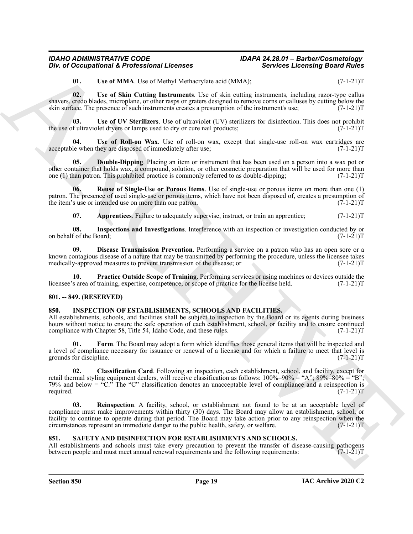<span id="page-18-17"></span><span id="page-18-16"></span><span id="page-18-14"></span>**01.** Use of MMA. Use of Methyl Methacrylate acid (MMA);  $(7-1-21)T$ 

**02. Use of Skin Cutting Instruments**. Use of skin cutting instruments, including razor-type callus shavers, credo blades, microplane, or other rasps or graters designed to remove corns or calluses by cutting below the skin surface. The presence of such instruments creates a presumption of the instrument's use; (7-1-21)T

**03.** Use of UV Sterilizers. Use of ultraviolet (UV) sterilizers for disinfection. This does not prohibit fultraviolet dryers or lamps used to dry or cure nail products;  $(7-1-21)$ the use of ultraviolet dryers or lamps used to dry or cure nail products;

<span id="page-18-15"></span>**Use of Roll-on Wax**. Use of roll-on wax, except that single-use roll-on wax cartridges are hey are disposed of immediately after use;  $(7-1-21)T$ acceptable when they are disposed of immediately after use;

<span id="page-18-10"></span>**05. Double-Dipping**. Placing an item or instrument that has been used on a person into a wax pot or other container that holds wax, a compound, solution, or other cosmetic preparation that will be used for more than one (1) than patron. This prohibited practice is commonly referred to as double-dipping; (7-1-21)T

**06. Reuse of Single-Use or Porous Items**. Use of single-use or porous items on more than one (1) patron. The presence of used single-use or porous items, which have not been disposed of, creates a presumption of the item's use or intended use on more than one patron.  $(7-1-21)T$ 

<span id="page-18-13"></span><span id="page-18-11"></span><span id="page-18-9"></span><span id="page-18-8"></span>**07.** Apprentices. Failure to adequately supervise, instruct, or train an apprentice;  $(7-1-21)$ T

**08.** Inspections and Investigations. Interference with an inspection or investigation conducted by or f of the Board:  $(7-1-21)T$ on behalf of the Board;

**09. Disease Transmission Prevention**. Performing a service on a patron who has an open sore or a known contagious disease of a nature that may be transmitted by performing the procedure, unless the licensee takes medically-approved measures to prevent transmission of the disease; or  $(7-1-21)$ medically-approved measures to prevent transmission of the disease; or

<span id="page-18-12"></span>**10. Practice Outside Scope of Training**. Performing services or using machines or devices outside the s area of training, expertise, competence, or scope of practice for the license held. (7-1-21) licensee's area of training, expertise, competence, or scope of practice for the license held.

#### <span id="page-18-0"></span>**801. -- 849. (RESERVED)**

#### <span id="page-18-3"></span><span id="page-18-1"></span>**850. INSPECTION OF ESTABLISHMENTS, SCHOOLS AND FACILITIES.**

All establishments, schools, and facilities shall be subject to inspection by the Board or its agents during business hours without notice to ensure the safe operation of each establishment, school, or facility and to ensure continued compliance with Chapter 58, Title 54, Idaho Code, and these rules. (7-1-21)T

<span id="page-18-5"></span>**01. Form**. The Board may adopt a form which identifies those general items that will be inspected and a level of compliance necessary for issuance or renewal of a license and for which a failure to meet that level is grounds for discipline. (7-1-21) grounds for discipline.

<span id="page-18-6"></span><span id="page-18-4"></span>**02. Classification Card**. Following an inspection, each establishment, school, and facility, except for retail thermal styling equipment dealers, will receive classification as follows:  $100\% - 90\% = "A"; 89\% - 80\% = "B";$ 79% and below = "C." The "C" classification denotes an unacceptable level of compliance and a reinspection is required.  $(7-1-21)T$ 

One of Occupational & Professional Licenses<br>
Universe and Soviética Encompagnonal Association of the state and the state and the state and the state and the state of the state of the state and the state and the state and **03. Reinspection**. A facility, school, or establishment not found to be at an acceptable level of compliance must make improvements within thirty (30) days. The Board may allow an establishment, school, or facility to continue to operate during that period. The Board may take action prior to any reinspection when the circumstances represent an immediate danger to the public health, safety, or welfare. (7-1-21)T

#### <span id="page-18-7"></span><span id="page-18-2"></span>**851. SAFETY AND DISINFECTION FOR ESTABLISHMENTS AND SCHOOLS.**

All establishments and schools must take every precaution to prevent the transfer of disease-causing pathogens between people and must meet annual renewal requirements and the following requirements: (7-1-21)T between people and must meet annual renewal requirements and the following requirements: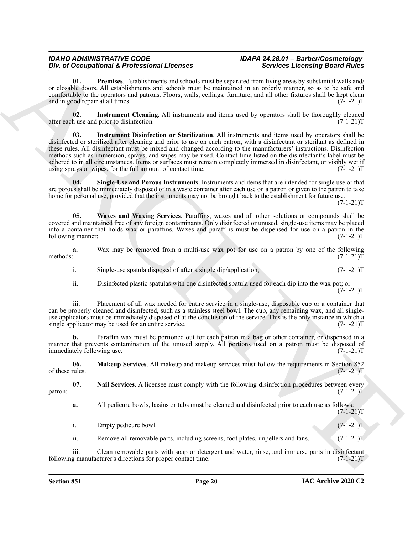<span id="page-19-4"></span>**01. Premises**. Establishments and schools must be separated from living areas by substantial walls and/ or closable doors. All establishments and schools must be maintained in an orderly manner, so as to be safe and comfortable to the operators and patrons. Floors, walls, ceilings, furniture, and all other fixtures shall be kept clean and in good repair at all times.  $(7-1-21)T$ 

<span id="page-19-1"></span><span id="page-19-0"></span>**02.** Instrument Cleaning. All instruments and items used by operators shall be thoroughly cleaned h use and prior to disinfection. (7-1-21)T after each use and prior to disinfection.

One of Octomorphism & Foreignstein Licences has been seen by presentation of the control of the control of the control of the control of the control of the control of the control of the control of the control of the contr **03. Instrument Disinfection or Sterilization**. All instruments and items used by operators shall be disinfected or sterilized after cleaning and prior to use on each patron, with a disinfectant or sterilant as defined in these rules. All disinfectant must be mixed and changed according to the manufacturers' instructions. Disinfection methods such as immersion, sprays, and wipes may be used. Contact time listed on the disinfectant's label must be adhered to in all circumstances. Items or surfaces must remain completely immersed in disinfectant, or visibly wet if using sprays or wipes, for the full amount of contact time.  $(7-1-21)T$ 

**04. Single-Use and Porous Instruments**. Instruments and items that are intended for single use or that are porous shall be immediately disposed of in a waste container after each use on a patron or given to the patron to take home for personal use, provided that the instruments may not be brought back to the establishment for future use.

 $(7-1-21)T$ 

<span id="page-19-5"></span>**05. Waxes and Waxing Services**. Paraffins, waxes and all other solutions or compounds shall be covered and maintained free of any foreign contaminants. Only disinfected or unused, single-use items may be placed into a container that holds wax or paraffins. Waxes and paraffins must be dispensed for use on a patron in the following manner:

**a.** Wax may be removed from a multi-use wax pot for use on a patron by one of the following methods:  $(7-1-21)T$ methods: (7-1-21)T

- i. Single-use spatula disposed of after a single dip/application;  $(7-1-21)$ T
- ii. Disinfected plastic spatulas with one disinfected spatula used for each dip into the wax pot; or  $(7-1-21)T$

iii. Placement of all wax needed for entire service in a single-use, disposable cup or a container that can be properly cleaned and disinfected, such as a stainless steel bowl. The cup, any remaining wax, and all singleuse applicators must be immediately disposed of at the conclusion of the service. This is the only instance in which a single applicator may be used for an entire service. (7-1-21)T

**b.** Paraffin wax must be portioned out for each patron in a bag or other container, or dispensed in a manner that prevents contamination of the unused supply. All portions used on a patron must be disposed of immediately following use. (7-1-21)T

<span id="page-19-2"></span>**06. Makeup Services**. All makeup and makeup services must follow the requirements in Section 852 of these rules.  $(7-1-21)T$ 

**07.** Nail Services. A licensee must comply with the following disinfection procedures between every (7-1-21) patron:  $(7-1-21)$ T

<span id="page-19-3"></span>**a.** All pedicure bowls, basins or tubs must be cleaned and disinfected prior to each use as follows:  $(7-1-21)T$ 

i. Empty pedicure bowl.  $(7-1-21)T$ 

ii. Remove all removable parts, including screens, foot plates, impellers and fans. (7-1-21)

iii. Clean removable parts with soap or detergent and water, rinse, and immerse parts in disinfectant g manufacturer's directions for proper contact time. (7-1-21) following manufacturer's directions for proper contact time.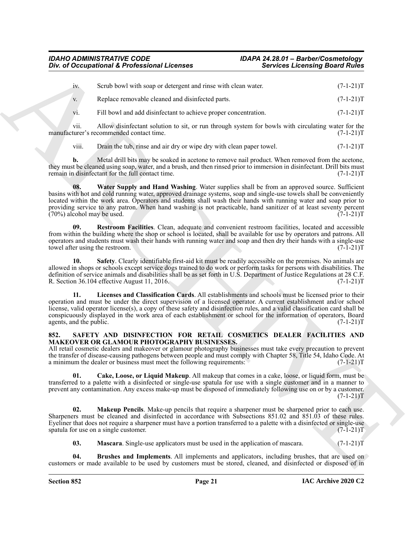| 1V.            | Scrub bowl with soap or detergent and rinse with clean water.   | $(7-1-21)T$ |
|----------------|-----------------------------------------------------------------|-------------|
| V <sub>r</sub> | Replace removable cleaned and disinfected parts.                | $(7-1-21)T$ |
| V1.            | Fill bowl and add disinfectant to achieve proper concentration. | $(7-1-21)T$ |

vii. Allow disinfectant solution to sit, or run through system for bowls with circulating water for the turer's recommended contact time. (7-1-21) manufacturer's recommended contact time.

<span id="page-20-4"></span>viii. Drain the tub, rinse and air dry or wipe dry with clean paper towel. (7-1-21)T

**b.** Metal drill bits may be soaked in acetone to remove nail product. When removed from the acetone, they must be cleaned using soap, water, and a brush, and then rinsed prior to immersion in disinfectant. Drill bits must<br>(7-1-21)T<br>(7-1-21)T remain in disinfectant for the full contact time.

**08.** Water Supply and Hand Washing. Water supplies shall be from an approved source. Sufficient basins with hot and cold running water, approved drainage systems, soap and single-use towels shall be conveniently located within the work area. Operators and students shall wash their hands with running water and soap prior to providing service to any patron. When hand washing is not practicable, hand sanitizer of at least seventy percent  $(70\%)$  alcohol may be used.  $(7-1-21)$ T

<span id="page-20-2"></span>**09. Restroom Facilities**. Clean, adequate and convenient restroom facilities, located and accessible from within the building where the shop or school is located, shall be available for use by operators and patrons. All operators and students must wash their hands with running water and soap and then dry their hands with a single-use<br>(7-1-21)T towel after using the restroom.

<span id="page-20-3"></span><span id="page-20-1"></span>**10. Safety**. Clearly identifiable first-aid kit must be readily accessible on the premises. No animals are allowed in shops or schools except service dogs trained to do work or perform tasks for persons with disabilities. The definition of service animals and disabilities shall be as set forth in U.S. Department of Justice Regulations at 28 C.F.<br>R. Section 36.104 effective August 11, 2016. (7-1-21) R. Section  $36.104$  effective August 11, 2016.

One of Occupational K. Professional Licenses<br>  $\mu$  Sovietics Economic Sovietics Learning Board Edition<br>  $\mu$  Sovietics Economic Sovietics Contribute and Sovietics Professional C. (11-11)<br>  $\mu$  Sovietics Economic Sovietics **11. Licenses and Classification Cards**. All establishments and schools must be licensed prior to their operation and must be under the direct supervision of a licensed operator. A current establishment and/or school license, valid operator license(s), a copy of these safety and disinfection rules, and a valid classification card shall be conspicuously displayed in the work area of each establishment or school for the information of operators, Board agents, and the public. (7-1-21) agents, and the public.

#### <span id="page-20-5"></span><span id="page-20-0"></span>**852. SAFETY AND DISINFECTION FOR RETAIL COSMETICS DEALER FACILITIES AND MAKEOVER OR GLAMOUR PHOTOGRAPHY BUSINESSES.**

All retail cosmetic dealers and makeover or glamour photography businesses must take every precaution to prevent the transfer of disease-causing pathogens between people and must comply with Chapter 58, Title 54, Idaho Code. At a minimum the dealer or business must meet the following requirements: (7-1-21)T

<span id="page-20-7"></span>**01. Cake, Loose, or Liquid Makeup**. All makeup that comes in a cake, loose, or liquid form, must be transferred to a palette with a disinfected or single-use spatula for use with a single customer and in a manner to prevent any contamination. Any excess make-up must be disposed of immediately following use on or by a customer.  $(7-1-21)T$ 

**02. Makeup Pencils**. Make-up pencils that require a sharpener must be sharpened prior to each use. Sharpeners must be cleaned and disinfected in accordance with Subsections 851.02 and 851.03 of these rules. Eyeliner that does not require a sharpener must have a portion transferred to a palette with a disinfected or single-use spatula for use on a single customer. (7-1-21)T spatula for use on a single customer.

<span id="page-20-9"></span><span id="page-20-8"></span><span id="page-20-6"></span>**03. Mascara**. Single-use applicators must be used in the application of mascara. (7-1-21)T

**04. Brushes and Implements**. All implements and applicators, including brushes, that are used on customers or made available to be used by customers must be stored, cleaned, and disinfected or disposed of in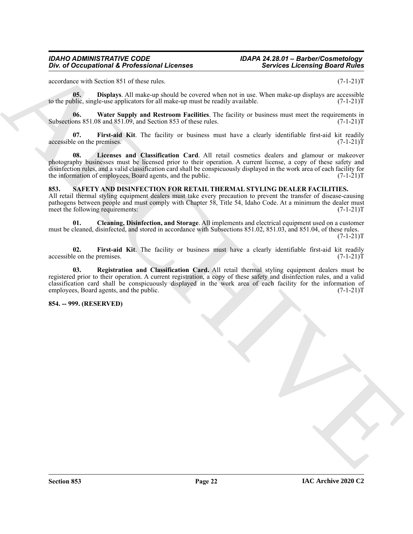<span id="page-21-2"></span>accordance with Section 851 of these rules. (7-1-21)T

**05. Displays**. All make-up should be covered when not in use. When make-up displays are accessible blic, single-use applicators for all make-up must be readily available. to the public, single-use applicators for all make-up must be readily available.

<span id="page-21-5"></span>**06.** Water Supply and Restroom Facilities. The facility or business must meet the requirements in ons 851.08 and 851.09, and Section 853 of these rules. (7-1-21) Subsections  $851.08$  and  $851.09$ , and Section  $853$  of these rules.

<span id="page-21-4"></span><span id="page-21-3"></span>**07. First-aid Kit**. The facility or business must have a clearly identifiable first-aid kit readily  $\alpha$  accessible on the premises. (7-1-21)T

The differential of  $\vec{B}$  and  $\vec{B}$  and  $\vec{B}$  and  $\vec{B}$  and  $\vec{B}$  are  $\vec{B}$  and  $\vec{B}$  and  $\vec{B}$  are  $\vec{B}$  and  $\vec{B}$  and  $\vec{B}$  are  $\vec{B}$  and  $\vec{B}$  and  $\vec{B}$  are  $\vec{B}$  and  $\vec{B}$  are  $\vec{B}$  a **08. Licenses and Classification Card**. All retail cosmetics dealers and glamour or makeover photography businesses must be licensed prior to their operation. A current license, a copy of these safety and disinfection rules, and a valid classification card shall be conspicuously displayed in the work area of each facility for the information of employees, Board agents, and the public. (7-1-21)T

#### <span id="page-21-6"></span><span id="page-21-0"></span>**853. SAFETY AND DISINFECTION FOR RETAIL THERMAL STYLING DEALER FACILITIES.**

All retail thermal styling equipment dealers must take every precaution to prevent the transfer of disease-causing pathogens between people and must comply with Chapter 58, Title 54, Idaho Code. At a minimum the dealer must meet the following requirements: (7-1-21)T

<span id="page-21-7"></span>**01. Cleaning, Disinfection, and Storage**. All implements and electrical equipment used on a customer must be cleaned, disinfected, and stored in accordance with Subsections 851.02, 851.03, and 851.04, of these rules.

 $(7-1-21)T$ 

<span id="page-21-8"></span>**02.** First-aid Kit. The facility or business must have a clearly identifiable first-aid kit readily le on the premises. (7-1-21) accessible on the premises.

<span id="page-21-9"></span>**03. Registration and Classification Card.** All retail thermal styling equipment dealers must be registered prior to their operation. A current registration, a copy of these safety and disinfection rules, and a valid classification card shall be conspicuously displayed in the work area of each facility for the information of employees, Board agents, and the public. (7-1-21)T

#### <span id="page-21-1"></span>**854. -- 999. (RESERVED)**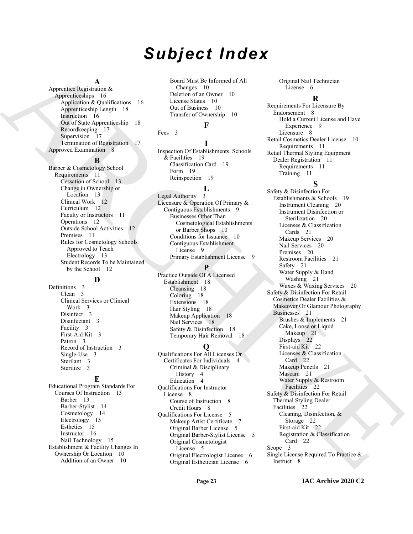## *Subject Index*

#### **A**

Apprentice Registration & Apprenticeships 16 Application & Qualifications 16 Apprenticeship Length 18 Instruction 16 Out of State Apprenticeship 18 Recordkeeping 17 Supervision 17 Termination of Registration 17 Approved Examination 8

#### **B**

Barber & Cosmetology School Requirements 11 Cessation of School 13 Change in Ownership or Location 13 Clinical Work 12 Curriculum 12 Faculty or Instructors 11 Operations 12 Outside School Activities 12 Premises 11 Rules for Cosmetology Schools Approved to Teach Electrology 13 Student Records To be Maintained by the School 12

#### **D**

Definitions 3 Clean 3 Clinical Services or Clinical Work 3 Disinfect 3 Disinfectant 3 Facility 3 First-Aid Kit 3 Patron 3 Record of Instruction 3 Single-Use 3 Sterilant 3 Sterilize 3

#### **E**

Educational Program Standards For Courses Of Instruction 13 Barber 13 Barber-Stylist 14 Cosmetology 14 Electrology 15 Esthetics 15 Instructor 16 Nail Technology 15 Establishment & Facility Changes In Ownership Or Location 10 Addition of an Owner 10

Board Must Be Informed of All Changes 10 Deletion of an Owner 10 License Status 10 Out of Business 10 Transfer of Ownership 10

#### **F**

Fees 3

**I** Inspection Of Establishments, Schools & Facilities 19 Classification Card 19 Form 19 Reinspection 19

#### **L**

Legal Authority 3 Licensure & Operation Of Primary & Contiguous Establishments 9 Businesses Other Than Cosmetological Establishments or Barber Shops 10 Conditions for Issuance 10 Contiguous Establishment License 9 Primary Establishment License 9

#### **P**

Practice Outside Of A Licensed Establishment 18 Cleansing 18 Coloring 18 Extensions 18 Hair Styling 18 Makeup Application 18 Nail Services 18 Safety & Disinfection 18 Temporary Hair Removal 18

### **Q**

Qualifications For All Licenses Or Certificates For Individuals 4 Criminal & Disciplinary History 4 Education 4 Qualifications For Instructor License 8 Course of Instruction 8 Credit Hours 8 Qualifications For License 5 Makeup Artist Certificate 7 Original Barber License 5 Original Barber-Stylist License 5 Original Cosmetologist License 5 Original Electrologist License 6 Original Esthetician License 6

Original Nail Technician License 6

#### **R**

Requirements For Licensure By Endorsement 8 Hold a Current License and Have Experience 9 Licensure 8 Retail Cosmetics Dealer License 10 Requirements 11 Retail Thermal Styling Equipment Dealer Registration 11 Requirements 11 Training 11

### **S**

 $\begin{tabular}{|c||c||c|} \hline A|p \mbox{\bf A} & A|q \mbox{\bf B} & A|q \mbox{\bf B} & A|q \mbox{\bf B} & A|q \mbox{\bf B} & A|q \mbox{\bf B} & A|q \mbox{\bf B} & A|q \mbox{\bf B} & A|q \mbox{\bf B} & A|q \mbox{\bf B} & A|q \mbox{\bf B} & A|q \mbox{\bf B} & A|q \mbox{\bf B} & A|q \mbox{\bf B} & A|q \mbox{\bf B} & A|q \mbox{\bf B} & A|q \mbox{\bf B} & A|q \mbox{\bf B} & A|q \m$  $\begin{tabular}{|c||c||c|} \hline A|p \mbox{\bf A} & A|q \mbox{\bf B} & A|q \mbox{\bf B} & A|q \mbox{\bf B} & A|q \mbox{\bf B} & A|q \mbox{\bf B} & A|q \mbox{\bf B} & A|q \mbox{\bf B} & A|q \mbox{\bf B} & A|q \mbox{\bf B} & A|q \mbox{\bf B} & A|q \mbox{\bf B} & A|q \mbox{\bf B} & A|q \mbox{\bf B} & A|q \mbox{\bf B} & A|q \mbox{\bf B} & A|q \mbox{\bf B} & A|q \mbox{\bf B} & A|q \m$  $\begin{tabular}{|c||c||c|} \hline A|p \mbox{\bf A} & A|q \mbox{\bf B} & A|q \mbox{\bf B} & A|q \mbox{\bf B} & A|q \mbox{\bf B} & A|q \mbox{\bf B} & A|q \mbox{\bf B} & A|q \mbox{\bf B} & A|q \mbox{\bf B} & A|q \mbox{\bf B} & A|q \mbox{\bf B} & A|q \mbox{\bf B} & A|q \mbox{\bf B} & A|q \mbox{\bf B} & A|q \mbox{\bf B} & A|q \mbox{\bf B} & A|q \mbox{\bf B} & A|q \mbox{\bf B} & A|q \m$ Safety & Disinfection For Establishments & Schools 19 Instrument Cleaning 20 Instrument Disinfection or Sterilization 20 Licenses & Classification Cards 21 Makeup Services 20 Nail Services 20 Premises 20 Restroom Facilities 21 Safety 21 Water Supply & Hand Washing 21 Waxes & Waxing Services 20 Safety & Disinfection For Retail Cosmetics Dealer Facilities & Makeover Or Glamour Photography Businesses 21 Brushes & Implements 21 Cake, Loose or Liquid Makeup 21 Displays 22 First-aid Kit 22 Licenses & Classification Card 22 Makeup Pencils 21 Mascara 21 Water Supply & Restroom Facilities 22 Safety & Disinfection For Retail Thermal Styling Dealer Facilities 22 Cleaning, Disinfection, & Storage 22 First-aid Kit 22 Registration & Classification Card 22 Scope 3 Single License Required To Practice & Instruct 8